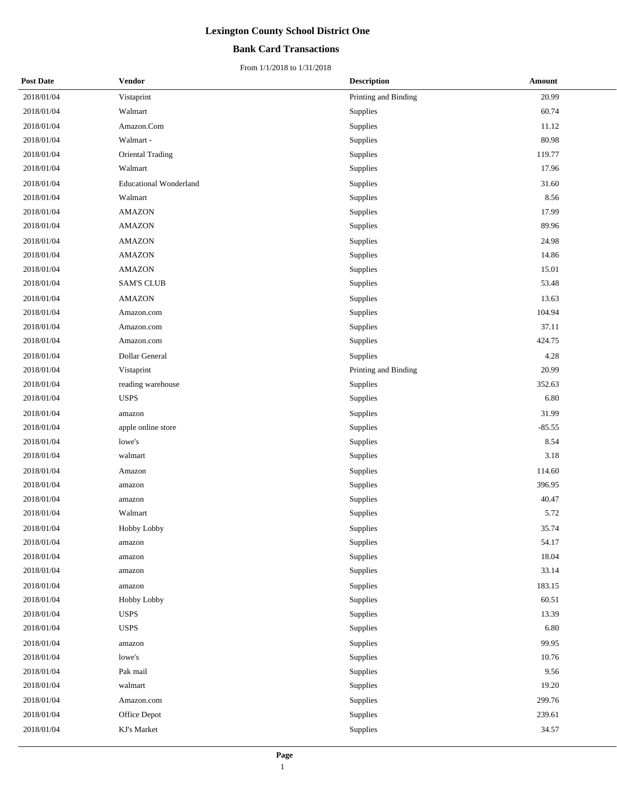### **Bank Card Transactions**

| <b>Post Date</b> | <b>Vendor</b>                 | <b>Description</b>   | <b>Amount</b> |  |
|------------------|-------------------------------|----------------------|---------------|--|
| 2018/01/04       | Vistaprint                    | Printing and Binding | 20.99         |  |
| 2018/01/04       | Walmart                       | Supplies             | 60.74         |  |
| 2018/01/04       | Amazon.Com                    | Supplies             | 11.12         |  |
| 2018/01/04       | Walmart -                     | Supplies             | 80.98         |  |
| 2018/01/04       | Oriental Trading              | Supplies             | 119.77        |  |
| 2018/01/04       | Walmart                       | Supplies             | 17.96         |  |
| 2018/01/04       | <b>Educational Wonderland</b> | Supplies             | 31.60         |  |
| 2018/01/04       | Walmart                       | Supplies             | 8.56          |  |
| 2018/01/04       | <b>AMAZON</b>                 | Supplies             | 17.99         |  |
| 2018/01/04       | <b>AMAZON</b>                 | Supplies             | 89.96         |  |
| 2018/01/04       | <b>AMAZON</b>                 | Supplies             | 24.98         |  |
| 2018/01/04       | <b>AMAZON</b>                 | Supplies             | 14.86         |  |
| 2018/01/04       | <b>AMAZON</b>                 | Supplies             | 15.01         |  |
| 2018/01/04       | <b>SAM'S CLUB</b>             | Supplies             | 53.48         |  |
| 2018/01/04       | <b>AMAZON</b>                 | Supplies             | 13.63         |  |
| 2018/01/04       | Amazon.com                    | Supplies             | 104.94        |  |
| 2018/01/04       | Amazon.com                    | Supplies             | 37.11         |  |
| 2018/01/04       | Amazon.com                    | Supplies             | 424.75        |  |
| 2018/01/04       | Dollar General                | Supplies             | 4.28          |  |
| 2018/01/04       | Vistaprint                    | Printing and Binding | 20.99         |  |
| 2018/01/04       | reading warehouse             | Supplies             | 352.63        |  |
| 2018/01/04       | <b>USPS</b>                   | Supplies             | 6.80          |  |
| 2018/01/04       | amazon                        | Supplies             | 31.99         |  |
| 2018/01/04       | apple online store            | Supplies             | $-85.55$      |  |
| 2018/01/04       | lowe's                        | Supplies             | 8.54          |  |
| 2018/01/04       | walmart                       | Supplies             | 3.18          |  |
| 2018/01/04       | Amazon                        | Supplies             | 114.60        |  |
| 2018/01/04       | amazon                        | Supplies             | 396.95        |  |
| 2018/01/04       | amazon                        | Supplies             | 40.47         |  |
| 2018/01/04       | Walmart                       | Supplies             | 5.72          |  |
| 2018/01/04       | Hobby Lobby                   | Supplies             | 35.74         |  |
| 2018/01/04       | amazon                        | Supplies             | 54.17         |  |
| 2018/01/04       | amazon                        | Supplies             | 18.04         |  |
| 2018/01/04       | amazon                        | Supplies             | 33.14         |  |
| 2018/01/04       | amazon                        | Supplies             | 183.15        |  |
| 2018/01/04       | Hobby Lobby                   | Supplies             | 60.51         |  |
| 2018/01/04       | <b>USPS</b>                   | Supplies             | 13.39         |  |
| 2018/01/04       | <b>USPS</b>                   | Supplies             | 6.80          |  |
| 2018/01/04       | amazon                        | Supplies             | 99.95         |  |
| 2018/01/04       | lowe's                        | Supplies             | 10.76         |  |
| 2018/01/04       | Pak mail                      | Supplies             | 9.56          |  |
| 2018/01/04       | walmart                       | Supplies             | 19.20         |  |
| 2018/01/04       | Amazon.com                    | Supplies             | 299.76        |  |
| 2018/01/04       | Office Depot                  | Supplies             | 239.61        |  |
| 2018/01/04       | KJ's Market                   | Supplies             | 34.57         |  |
|                  |                               |                      |               |  |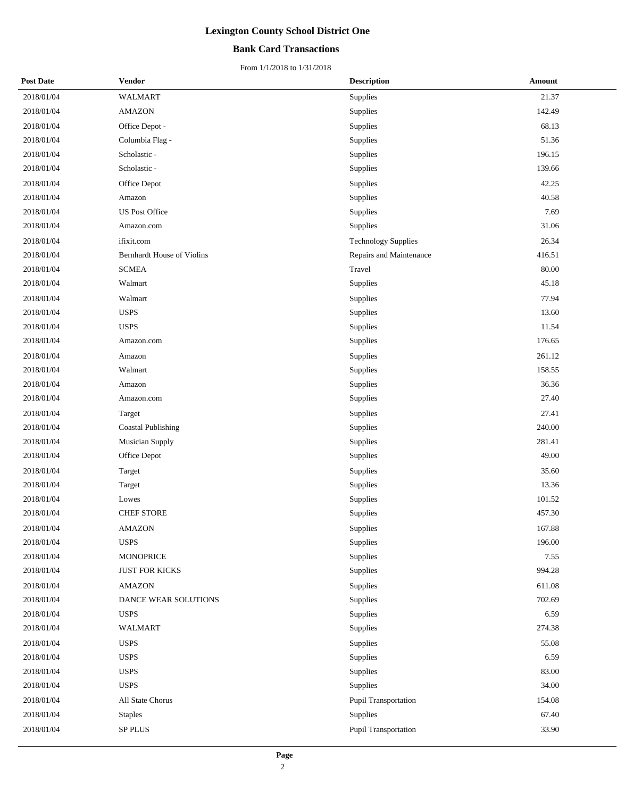### **Bank Card Transactions**

| <b>Post Date</b> | <b>Vendor</b>                     | <b>Description</b>         | Amount |
|------------------|-----------------------------------|----------------------------|--------|
| 2018/01/04       | <b>WALMART</b>                    | Supplies                   | 21.37  |
| 2018/01/04       | <b>AMAZON</b>                     | Supplies                   | 142.49 |
| 2018/01/04       | Office Depot -                    | Supplies                   | 68.13  |
| 2018/01/04       | Columbia Flag -                   | Supplies                   | 51.36  |
| 2018/01/04       | Scholastic -                      | Supplies                   | 196.15 |
| 2018/01/04       | Scholastic -                      | Supplies                   | 139.66 |
| 2018/01/04       | Office Depot                      | Supplies                   | 42.25  |
| 2018/01/04       | Amazon                            | Supplies                   | 40.58  |
| 2018/01/04       | <b>US Post Office</b>             | Supplies                   | 7.69   |
| 2018/01/04       | Amazon.com                        | Supplies                   | 31.06  |
| 2018/01/04       | ifixit.com                        | <b>Technology Supplies</b> | 26.34  |
| 2018/01/04       | <b>Bernhardt House of Violins</b> | Repairs and Maintenance    | 416.51 |
| 2018/01/04       | <b>SCMEA</b>                      | Travel                     | 80.00  |
| 2018/01/04       | Walmart                           | Supplies                   | 45.18  |
| 2018/01/04       | Walmart                           | Supplies                   | 77.94  |
| 2018/01/04       | <b>USPS</b>                       | Supplies                   | 13.60  |
| 2018/01/04       | <b>USPS</b>                       | Supplies                   | 11.54  |
| 2018/01/04       | Amazon.com                        | Supplies                   | 176.65 |
| 2018/01/04       | Amazon                            | Supplies                   | 261.12 |
| 2018/01/04       | Walmart                           | Supplies                   | 158.55 |
| 2018/01/04       | Amazon                            | Supplies                   | 36.36  |
| 2018/01/04       | Amazon.com                        | Supplies                   | 27.40  |
| 2018/01/04       | Target                            | Supplies                   | 27.41  |
| 2018/01/04       | <b>Coastal Publishing</b>         | Supplies                   | 240.00 |
| 2018/01/04       | <b>Musician Supply</b>            | Supplies                   | 281.41 |
| 2018/01/04       | Office Depot                      | Supplies                   | 49.00  |
| 2018/01/04       | Target                            | Supplies                   | 35.60  |
| 2018/01/04       | Target                            | Supplies                   | 13.36  |
| 2018/01/04       | Lowes                             | Supplies                   | 101.52 |
| 2018/01/04       | <b>CHEF STORE</b>                 | Supplies                   | 457.30 |
| 2018/01/04       | <b>AMAZON</b>                     | Supplies                   | 167.88 |
| 2018/01/04       | <b>USPS</b>                       | Supplies                   | 196.00 |
| 2018/01/04       | <b>MONOPRICE</b>                  | Supplies                   | 7.55   |
| 2018/01/04       | <b>JUST FOR KICKS</b>             | Supplies                   | 994.28 |
| 2018/01/04       | <b>AMAZON</b>                     | Supplies                   | 611.08 |
| 2018/01/04       | DANCE WEAR SOLUTIONS              | Supplies                   | 702.69 |
| 2018/01/04       | <b>USPS</b>                       | Supplies                   | 6.59   |
| 2018/01/04       | <b>WALMART</b>                    | Supplies                   | 274.38 |
| 2018/01/04       | <b>USPS</b>                       | Supplies                   | 55.08  |
| 2018/01/04       | <b>USPS</b>                       | Supplies                   | 6.59   |
| 2018/01/04       | <b>USPS</b>                       | Supplies                   | 83.00  |
| 2018/01/04       | <b>USPS</b>                       | Supplies                   | 34.00  |
| 2018/01/04       | All State Chorus                  | Pupil Transportation       | 154.08 |
| 2018/01/04       | <b>Staples</b>                    | Supplies                   | 67.40  |
| 2018/01/04       | SP PLUS                           | Pupil Transportation       | 33.90  |
|                  |                                   |                            |        |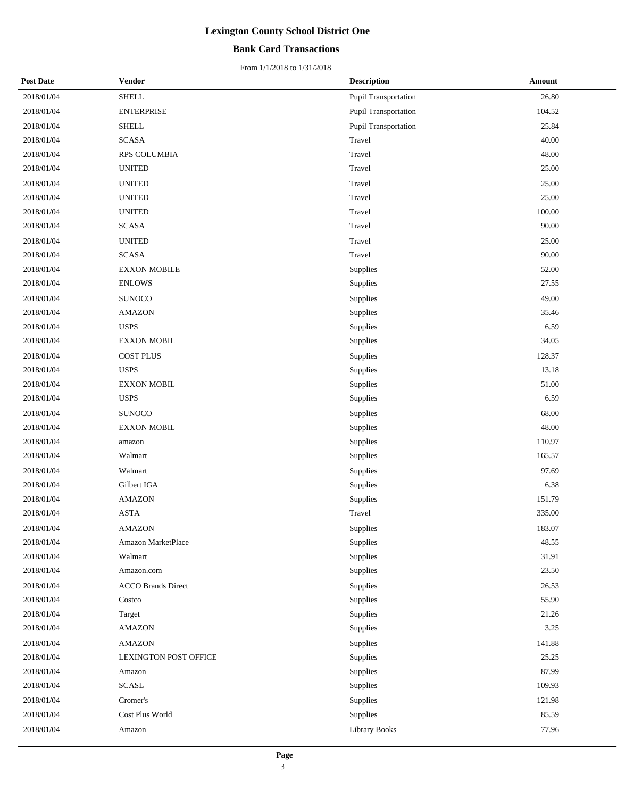### **Bank Card Transactions**

| <b>Post Date</b> | <b>Vendor</b>                | <b>Description</b>          | Amount     |
|------------------|------------------------------|-----------------------------|------------|
| 2018/01/04       | ${\rm SHELL}$                | <b>Pupil Transportation</b> | 26.80      |
| 2018/01/04       | <b>ENTERPRISE</b>            | Pupil Transportation        | 104.52     |
| 2018/01/04       | <b>SHELL</b>                 | <b>Pupil Transportation</b> | 25.84      |
| 2018/01/04       | <b>SCASA</b>                 | Travel                      | 40.00      |
| 2018/01/04       | RPS COLUMBIA                 | Travel                      | 48.00      |
| 2018/01/04       | <b>UNITED</b>                | Travel                      | 25.00      |
| 2018/01/04       | <b>UNITED</b>                | Travel                      | 25.00      |
| 2018/01/04       | <b>UNITED</b>                | Travel                      | 25.00      |
| 2018/01/04       | <b>UNITED</b>                | Travel                      | $100.00\,$ |
| 2018/01/04       | <b>SCASA</b>                 | Travel                      | 90.00      |
| 2018/01/04       | <b>UNITED</b>                | Travel                      | 25.00      |
| 2018/01/04       | <b>SCASA</b>                 | Travel                      | 90.00      |
| 2018/01/04       | <b>EXXON MOBILE</b>          | Supplies                    | 52.00      |
| 2018/01/04       | <b>ENLOWS</b>                | Supplies                    | 27.55      |
| 2018/01/04       | <b>SUNOCO</b>                | Supplies                    | 49.00      |
| 2018/01/04       | <b>AMAZON</b>                | Supplies                    | 35.46      |
| 2018/01/04       | <b>USPS</b>                  | Supplies                    | 6.59       |
| 2018/01/04       | <b>EXXON MOBIL</b>           | Supplies                    | 34.05      |
| 2018/01/04       | <b>COST PLUS</b>             | Supplies                    | 128.37     |
| 2018/01/04       | <b>USPS</b>                  | Supplies                    | 13.18      |
| 2018/01/04       | <b>EXXON MOBIL</b>           | Supplies                    | 51.00      |
| 2018/01/04       | <b>USPS</b>                  | Supplies                    | 6.59       |
| 2018/01/04       | <b>SUNOCO</b>                | Supplies                    | 68.00      |
| 2018/01/04       | <b>EXXON MOBIL</b>           | Supplies                    | 48.00      |
| 2018/01/04       | amazon                       | Supplies                    | 110.97     |
| 2018/01/04       | Walmart                      | Supplies                    | 165.57     |
| 2018/01/04       | Walmart                      | Supplies                    | 97.69      |
| 2018/01/04       | Gilbert IGA                  | Supplies                    | 6.38       |
| 2018/01/04       | <b>AMAZON</b>                | Supplies                    | 151.79     |
| 2018/01/04       | <b>ASTA</b>                  | Travel                      | 335.00     |
| 2018/01/04       | <b>AMAZON</b>                | Supplies                    | 183.07     |
| 2018/01/04       | Amazon MarketPlace           | Supplies                    | 48.55      |
| 2018/01/04       | Walmart                      | Supplies                    | 31.91      |
| 2018/01/04       | Amazon.com                   | Supplies                    | 23.50      |
| 2018/01/04       | <b>ACCO Brands Direct</b>    | Supplies                    | 26.53      |
| 2018/01/04       | Costco                       | Supplies                    | 55.90      |
| 2018/01/04       | Target                       | Supplies                    | 21.26      |
| 2018/01/04       | <b>AMAZON</b>                | Supplies                    | 3.25       |
| 2018/01/04       | <b>AMAZON</b>                | Supplies                    | 141.88     |
| 2018/01/04       | <b>LEXINGTON POST OFFICE</b> | Supplies                    | 25.25      |
| 2018/01/04       | Amazon                       | Supplies                    | 87.99      |
| 2018/01/04       | <b>SCASL</b>                 | Supplies                    | 109.93     |
| 2018/01/04       | Cromer's                     | Supplies                    | 121.98     |
| 2018/01/04       | Cost Plus World              | Supplies                    | 85.59      |
| 2018/01/04       | Amazon                       | <b>Library Books</b>        | 77.96      |
|                  |                              |                             |            |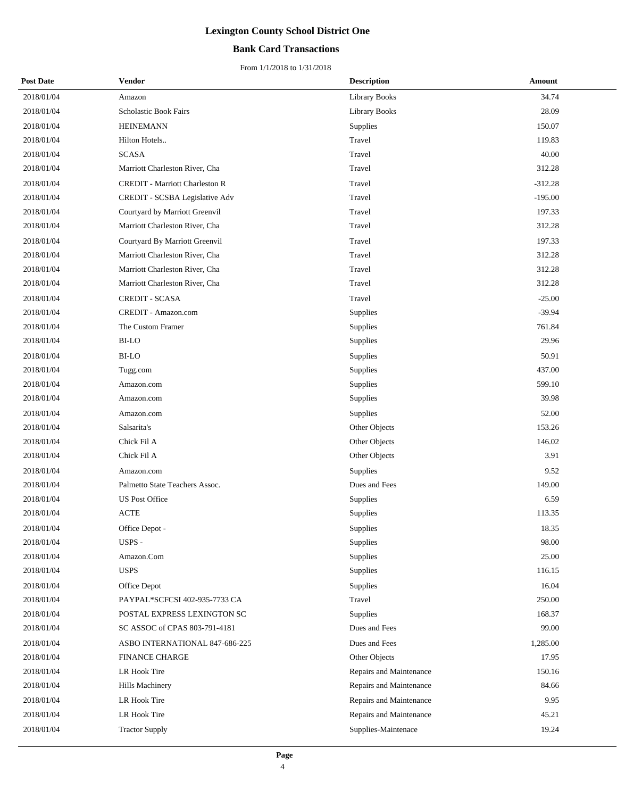### **Bank Card Transactions**

| <b>Post Date</b> | Vendor                                | <b>Description</b>      | <b>Amount</b> |
|------------------|---------------------------------------|-------------------------|---------------|
| 2018/01/04       | Amazon                                | <b>Library Books</b>    | 34.74         |
| 2018/01/04       | Scholastic Book Fairs                 | <b>Library Books</b>    | 28.09         |
| 2018/01/04       | <b>HEINEMANN</b>                      | Supplies                | 150.07        |
| 2018/01/04       | Hilton Hotels                         | Travel                  | 119.83        |
| 2018/01/04       | <b>SCASA</b>                          | Travel                  | 40.00         |
| 2018/01/04       | Marriott Charleston River, Cha        | Travel                  | 312.28        |
| 2018/01/04       | <b>CREDIT</b> - Marriott Charleston R | Travel                  | $-312.28$     |
| 2018/01/04       | CREDIT - SCSBA Legislative Adv        | Travel                  | $-195.00$     |
| 2018/01/04       | Courtyard by Marriott Greenvil        | Travel                  | 197.33        |
| 2018/01/04       | Marriott Charleston River, Cha        | Travel                  | 312.28        |
| 2018/01/04       | Courtyard By Marriott Greenvil        | Travel                  | 197.33        |
| 2018/01/04       | Marriott Charleston River, Cha        | Travel                  | 312.28        |
| 2018/01/04       | Marriott Charleston River, Cha        | Travel                  | 312.28        |
| 2018/01/04       | Marriott Charleston River, Cha        | Travel                  | 312.28        |
| 2018/01/04       | <b>CREDIT - SCASA</b>                 | Travel                  | $-25.00$      |
| 2018/01/04       | CREDIT - Amazon.com                   | Supplies                | $-39.94$      |
| 2018/01/04       | The Custom Framer                     | Supplies                | 761.84        |
| 2018/01/04       | BI-LO                                 | Supplies                | 29.96         |
| 2018/01/04       | BI-LO                                 | Supplies                | 50.91         |
| 2018/01/04       | Tugg.com                              | Supplies                | 437.00        |
| 2018/01/04       | Amazon.com                            | Supplies                | 599.10        |
| 2018/01/04       | Amazon.com                            | Supplies                | 39.98         |
| 2018/01/04       | Amazon.com                            | Supplies                | 52.00         |
| 2018/01/04       | Salsarita's                           | Other Objects           | 153.26        |
| 2018/01/04       | Chick Fil A                           | Other Objects           | 146.02        |
| 2018/01/04       | Chick Fil A                           | Other Objects           | 3.91          |
| 2018/01/04       | Amazon.com                            | Supplies                | 9.52          |
| 2018/01/04       | Palmetto State Teachers Assoc.        | Dues and Fees           | 149.00        |
| 2018/01/04       | <b>US Post Office</b>                 | Supplies                | 6.59          |
| 2018/01/04       | <b>ACTE</b>                           | Supplies                | 113.35        |
| 2018/01/04       | Office Depot -                        | Supplies                | 18.35         |
| 2018/01/04       | USPS -                                | Supplies                | 98.00         |
| 2018/01/04       | Amazon.Com                            | Supplies                | 25.00         |
| 2018/01/04       | <b>USPS</b>                           | Supplies                | 116.15        |
| 2018/01/04       | Office Depot                          | Supplies                | 16.04         |
| 2018/01/04       | PAYPAL*SCFCSI 402-935-7733 CA         | Travel                  | 250.00        |
| 2018/01/04       | POSTAL EXPRESS LEXINGTON SC           | Supplies                | 168.37        |
| 2018/01/04       | SC ASSOC of CPAS 803-791-4181         | Dues and Fees           | 99.00         |
| 2018/01/04       | ASBO INTERNATIONAL 847-686-225        | Dues and Fees           | 1,285.00      |
| 2018/01/04       | <b>FINANCE CHARGE</b>                 | Other Objects           | 17.95         |
| 2018/01/04       | LR Hook Tire                          | Repairs and Maintenance | 150.16        |
| 2018/01/04       | Hills Machinery                       | Repairs and Maintenance | 84.66         |
| 2018/01/04       | LR Hook Tire                          | Repairs and Maintenance | 9.95          |
| 2018/01/04       | LR Hook Tire                          | Repairs and Maintenance | 45.21         |
| 2018/01/04       | <b>Tractor Supply</b>                 | Supplies-Maintenace     | 19.24         |
|                  |                                       |                         |               |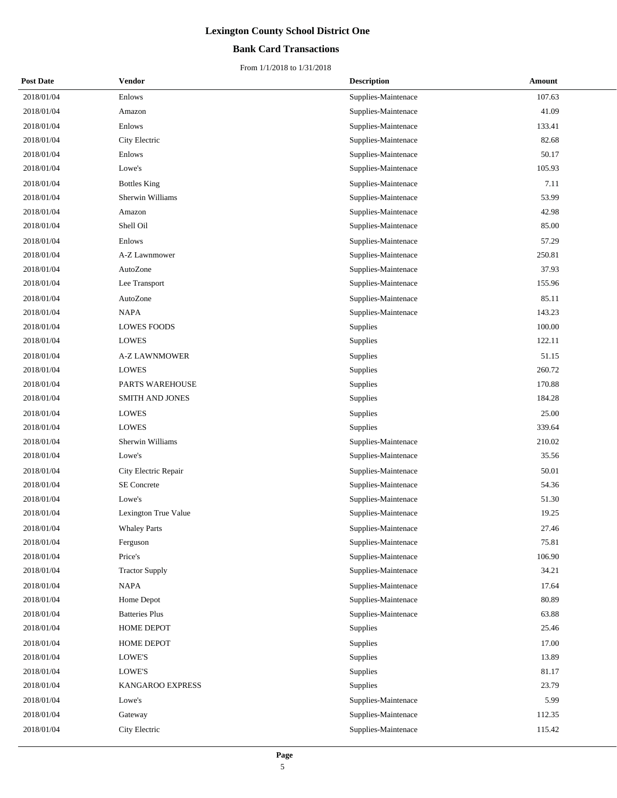### **Bank Card Transactions**

| <b>Post Date</b> | <b>Vendor</b>         | <b>Description</b>  | <b>Amount</b> |
|------------------|-----------------------|---------------------|---------------|
| 2018/01/04       | Enlows                | Supplies-Maintenace | 107.63        |
| 2018/01/04       | Amazon                | Supplies-Maintenace | 41.09         |
| 2018/01/04       | Enlows                | Supplies-Maintenace | 133.41        |
| 2018/01/04       | City Electric         | Supplies-Maintenace | 82.68         |
| 2018/01/04       | Enlows                | Supplies-Maintenace | 50.17         |
| 2018/01/04       | Lowe's                | Supplies-Maintenace | 105.93        |
| 2018/01/04       | <b>Bottles King</b>   | Supplies-Maintenace | 7.11          |
| 2018/01/04       | Sherwin Williams      | Supplies-Maintenace | 53.99         |
| 2018/01/04       | Amazon                | Supplies-Maintenace | 42.98         |
| 2018/01/04       | Shell Oil             | Supplies-Maintenace | 85.00         |
| 2018/01/04       | Enlows                | Supplies-Maintenace | 57.29         |
| 2018/01/04       | A-Z Lawnmower         | Supplies-Maintenace | 250.81        |
| 2018/01/04       | AutoZone              | Supplies-Maintenace | 37.93         |
| 2018/01/04       | Lee Transport         | Supplies-Maintenace | 155.96        |
| 2018/01/04       | AutoZone              | Supplies-Maintenace | 85.11         |
| 2018/01/04       | <b>NAPA</b>           | Supplies-Maintenace | 143.23        |
| 2018/01/04       | <b>LOWES FOODS</b>    | Supplies            | 100.00        |
| 2018/01/04       | <b>LOWES</b>          | Supplies            | 122.11        |
| 2018/01/04       | <b>A-Z LAWNMOWER</b>  | Supplies            | 51.15         |
| 2018/01/04       | <b>LOWES</b>          | Supplies            | 260.72        |
| 2018/01/04       | PARTS WAREHOUSE       | Supplies            | 170.88        |
| 2018/01/04       | SMITH AND JONES       | Supplies            | 184.28        |
| 2018/01/04       | LOWES                 | Supplies            | 25.00         |
| 2018/01/04       | <b>LOWES</b>          | Supplies            | 339.64        |
| 2018/01/04       | Sherwin Williams      | Supplies-Maintenace | 210.02        |
| 2018/01/04       | Lowe's                | Supplies-Maintenace | 35.56         |
| 2018/01/04       | City Electric Repair  | Supplies-Maintenace | 50.01         |
| 2018/01/04       | <b>SE</b> Concrete    | Supplies-Maintenace | 54.36         |
| 2018/01/04       | Lowe's                | Supplies-Maintenace | 51.30         |
| 2018/01/04       | Lexington True Value  | Supplies-Maintenace | 19.25         |
| 2018/01/04       | <b>Whaley Parts</b>   | Supplies-Maintenace | 27.46         |
| 2018/01/04       | Ferguson              | Supplies-Maintenace | 75.81         |
| 2018/01/04       | Price's               | Supplies-Maintenace | 106.90        |
| 2018/01/04       | <b>Tractor Supply</b> | Supplies-Maintenace | 34.21         |
| 2018/01/04       | <b>NAPA</b>           | Supplies-Maintenace | 17.64         |
| 2018/01/04       | Home Depot            | Supplies-Maintenace | 80.89         |
| 2018/01/04       | <b>Batteries Plus</b> | Supplies-Maintenace | 63.88         |
| 2018/01/04       | HOME DEPOT            | Supplies            | 25.46         |
| 2018/01/04       | HOME DEPOT            | Supplies            | 17.00         |
| 2018/01/04       | LOWE'S                | Supplies            | 13.89         |
| 2018/01/04       | LOWE'S                | Supplies            | 81.17         |
| 2018/01/04       | KANGAROO EXPRESS      | Supplies            | 23.79         |
| 2018/01/04       | Lowe's                | Supplies-Maintenace | 5.99          |
| 2018/01/04       | Gateway               | Supplies-Maintenace | 112.35        |
| 2018/01/04       | City Electric         | Supplies-Maintenace | 115.42        |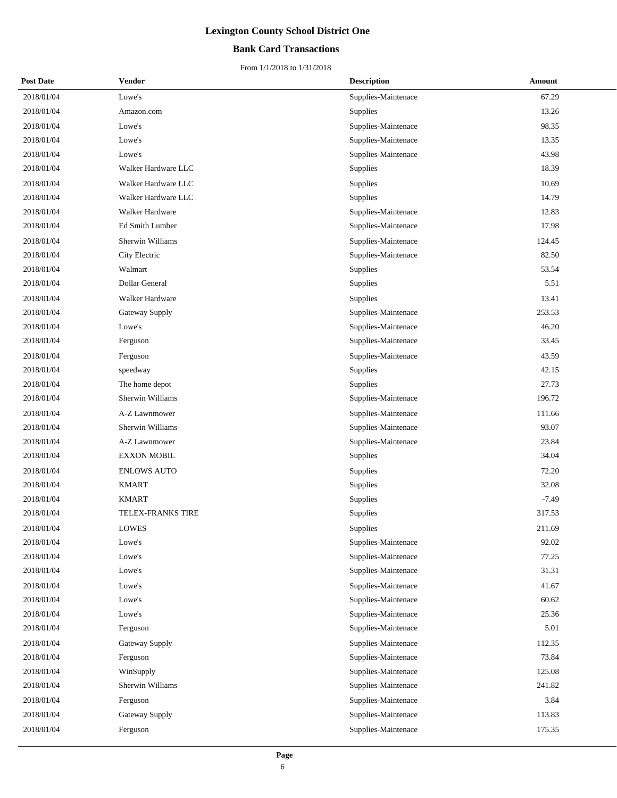### **Bank Card Transactions**

| <b>Post Date</b> | <b>Vendor</b>         | <b>Description</b>  | Amount  |
|------------------|-----------------------|---------------------|---------|
| 2018/01/04       | Lowe's                | Supplies-Maintenace | 67.29   |
| 2018/01/04       | Amazon.com            | Supplies            | 13.26   |
| 2018/01/04       | Lowe's                | Supplies-Maintenace | 98.35   |
| 2018/01/04       | Lowe's                | Supplies-Maintenace | 13.35   |
| 2018/01/04       | Lowe's                | Supplies-Maintenace | 43.98   |
| 2018/01/04       | Walker Hardware LLC   | Supplies            | 18.39   |
| 2018/01/04       | Walker Hardware LLC   | Supplies            | 10.69   |
| 2018/01/04       | Walker Hardware LLC   | Supplies            | 14.79   |
| 2018/01/04       | Walker Hardware       | Supplies-Maintenace | 12.83   |
| 2018/01/04       | Ed Smith Lumber       | Supplies-Maintenace | 17.98   |
| 2018/01/04       | Sherwin Williams      | Supplies-Maintenace | 124.45  |
| 2018/01/04       | City Electric         | Supplies-Maintenace | 82.50   |
| 2018/01/04       | Walmart               | Supplies            | 53.54   |
| 2018/01/04       | Dollar General        | Supplies            | 5.51    |
| 2018/01/04       | Walker Hardware       | Supplies            | 13.41   |
| 2018/01/04       | <b>Gateway Supply</b> | Supplies-Maintenace | 253.53  |
| 2018/01/04       | Lowe's                | Supplies-Maintenace | 46.20   |
| 2018/01/04       | Ferguson              | Supplies-Maintenace | 33.45   |
| 2018/01/04       | Ferguson              | Supplies-Maintenace | 43.59   |
| 2018/01/04       | speedway              | Supplies            | 42.15   |
| 2018/01/04       | The home depot        | Supplies            | 27.73   |
| 2018/01/04       | Sherwin Williams      | Supplies-Maintenace | 196.72  |
| 2018/01/04       | A-Z Lawnmower         | Supplies-Maintenace | 111.66  |
| 2018/01/04       | Sherwin Williams      | Supplies-Maintenace | 93.07   |
| 2018/01/04       | A-Z Lawnmower         | Supplies-Maintenace | 23.84   |
| 2018/01/04       | <b>EXXON MOBIL</b>    | Supplies            | 34.04   |
| 2018/01/04       | <b>ENLOWS AUTO</b>    | Supplies            | 72.20   |
| 2018/01/04       | <b>KMART</b>          | Supplies            | 32.08   |
| 2018/01/04       | <b>KMART</b>          | Supplies            | $-7.49$ |
| 2018/01/04       | TELEX-FRANKS TIRE     | Supplies            | 317.53  |
| 2018/01/04       | <b>LOWES</b>          | Supplies            | 211.69  |
| 2018/01/04       | Lowe's                | Supplies-Maintenace | 92.02   |
| 2018/01/04       | Lowe's                | Supplies-Maintenace | 77.25   |
| 2018/01/04       | Lowe's                | Supplies-Maintenace | 31.31   |
| 2018/01/04       | Lowe's                | Supplies-Maintenace | 41.67   |
| 2018/01/04       | Lowe's                | Supplies-Maintenace | 60.62   |
| 2018/01/04       | Lowe's                | Supplies-Maintenace | 25.36   |
| 2018/01/04       | Ferguson              | Supplies-Maintenace | 5.01    |
| 2018/01/04       | Gateway Supply        | Supplies-Maintenace | 112.35  |
| 2018/01/04       | Ferguson              | Supplies-Maintenace | 73.84   |
| 2018/01/04       | WinSupply             | Supplies-Maintenace | 125.08  |
| 2018/01/04       | Sherwin Williams      | Supplies-Maintenace | 241.82  |
| 2018/01/04       | Ferguson              | Supplies-Maintenace | 3.84    |
| 2018/01/04       | Gateway Supply        | Supplies-Maintenace | 113.83  |
| 2018/01/04       | Ferguson              | Supplies-Maintenace | 175.35  |
|                  |                       |                     |         |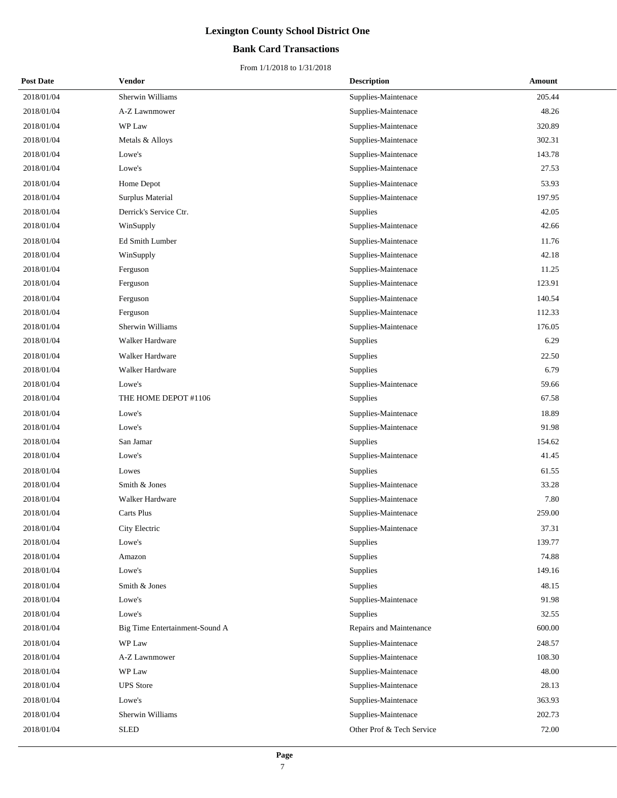### **Bank Card Transactions**

| <b>Post Date</b> | <b>Vendor</b>                  | <b>Description</b>        | <b>Amount</b> |
|------------------|--------------------------------|---------------------------|---------------|
| 2018/01/04       | Sherwin Williams               | Supplies-Maintenace       | 205.44        |
| 2018/01/04       | A-Z Lawnmower                  | Supplies-Maintenace       | 48.26         |
| 2018/01/04       | WP Law                         | Supplies-Maintenace       | 320.89        |
| 2018/01/04       | Metals & Alloys                | Supplies-Maintenace       | 302.31        |
| 2018/01/04       | Lowe's                         | Supplies-Maintenace       | 143.78        |
| 2018/01/04       | Lowe's                         | Supplies-Maintenace       | 27.53         |
| 2018/01/04       | Home Depot                     | Supplies-Maintenace       | 53.93         |
| 2018/01/04       | Surplus Material               | Supplies-Maintenace       | 197.95        |
| 2018/01/04       | Derrick's Service Ctr.         | Supplies                  | 42.05         |
| 2018/01/04       | WinSupply                      | Supplies-Maintenace       | 42.66         |
| 2018/01/04       | Ed Smith Lumber                | Supplies-Maintenace       | 11.76         |
| 2018/01/04       | WinSupply                      | Supplies-Maintenace       | 42.18         |
| 2018/01/04       | Ferguson                       | Supplies-Maintenace       | 11.25         |
| 2018/01/04       | Ferguson                       | Supplies-Maintenace       | 123.91        |
| 2018/01/04       | Ferguson                       | Supplies-Maintenace       | 140.54        |
| 2018/01/04       | Ferguson                       | Supplies-Maintenace       | 112.33        |
| 2018/01/04       | Sherwin Williams               | Supplies-Maintenace       | 176.05        |
| 2018/01/04       | Walker Hardware                | Supplies                  | 6.29          |
| 2018/01/04       | Walker Hardware                | Supplies                  | 22.50         |
| 2018/01/04       | Walker Hardware                | Supplies                  | 6.79          |
| 2018/01/04       | Lowe's                         | Supplies-Maintenace       | 59.66         |
| 2018/01/04       | THE HOME DEPOT #1106           | Supplies                  | 67.58         |
| 2018/01/04       | Lowe's                         | Supplies-Maintenace       | 18.89         |
| 2018/01/04       | Lowe's                         | Supplies-Maintenace       | 91.98         |
| 2018/01/04       | San Jamar                      | <b>Supplies</b>           | 154.62        |
| 2018/01/04       | Lowe's                         | Supplies-Maintenace       | 41.45         |
| 2018/01/04       | Lowes                          | <b>Supplies</b>           | 61.55         |
| 2018/01/04       | Smith & Jones                  | Supplies-Maintenace       | 33.28         |
| 2018/01/04       | Walker Hardware                | Supplies-Maintenace       | 7.80          |
| 2018/01/04       | Carts Plus                     | Supplies-Maintenace       | 259.00        |
| 2018/01/04       | City Electric                  | Supplies-Maintenace       | 37.31         |
| 2018/01/04       | Lowe's                         | Supplies                  | 139.77        |
| 2018/01/04       | Amazon                         | Supplies                  | 74.88         |
| 2018/01/04       | Lowe's                         | Supplies                  | 149.16        |
| 2018/01/04       | Smith & Jones                  | Supplies                  | 48.15         |
| 2018/01/04       | Lowe's                         | Supplies-Maintenace       | 91.98         |
| 2018/01/04       | Lowe's                         | Supplies                  | 32.55         |
| 2018/01/04       | Big Time Entertainment-Sound A | Repairs and Maintenance   | 600.00        |
| 2018/01/04       | WP Law                         | Supplies-Maintenace       | 248.57        |
| 2018/01/04       | A-Z Lawnmower                  | Supplies-Maintenace       | 108.30        |
| 2018/01/04       | WP Law                         | Supplies-Maintenace       | 48.00         |
| 2018/01/04       | <b>UPS</b> Store               | Supplies-Maintenace       | 28.13         |
| 2018/01/04       | Lowe's                         | Supplies-Maintenace       | 363.93        |
| 2018/01/04       | Sherwin Williams               | Supplies-Maintenace       | 202.73        |
| 2018/01/04       | <b>SLED</b>                    | Other Prof & Tech Service | 72.00         |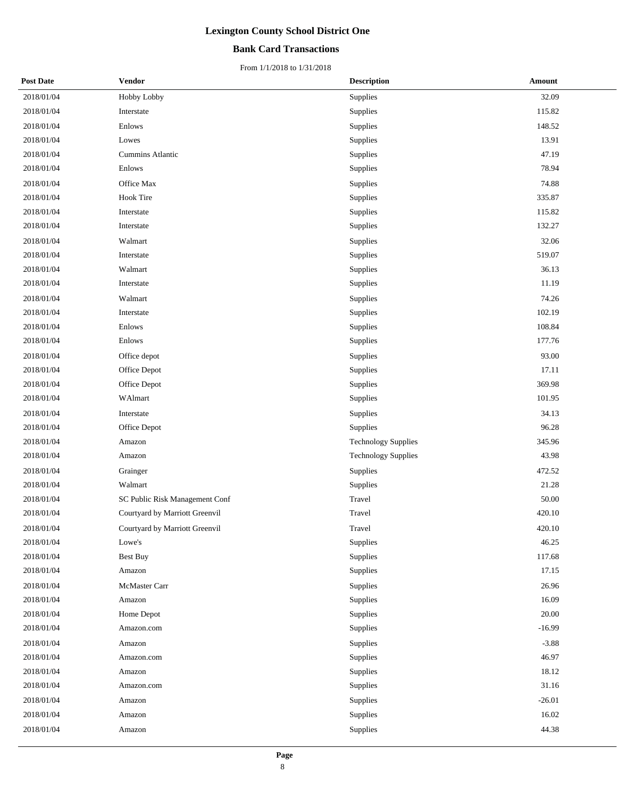### **Bank Card Transactions**

| <b>Post Date</b> | <b>Vendor</b>                  | <b>Description</b>         | Amount   |
|------------------|--------------------------------|----------------------------|----------|
| 2018/01/04       | Hobby Lobby                    | Supplies                   | 32.09    |
| 2018/01/04       | Interstate                     | Supplies                   | 115.82   |
| 2018/01/04       | Enlows                         | Supplies                   | 148.52   |
| 2018/01/04       | Lowes                          | Supplies                   | 13.91    |
| 2018/01/04       | Cummins Atlantic               | Supplies                   | 47.19    |
| 2018/01/04       | Enlows                         | Supplies                   | 78.94    |
| 2018/01/04       | Office Max                     | Supplies                   | 74.88    |
| 2018/01/04       | <b>Hook Tire</b>               | Supplies                   | 335.87   |
| 2018/01/04       | Interstate                     | Supplies                   | 115.82   |
| 2018/01/04       | Interstate                     | Supplies                   | 132.27   |
| 2018/01/04       | Walmart                        | Supplies                   | 32.06    |
| 2018/01/04       | Interstate                     | Supplies                   | 519.07   |
| 2018/01/04       | Walmart                        | Supplies                   | 36.13    |
| 2018/01/04       | Interstate                     | Supplies                   | 11.19    |
| 2018/01/04       | Walmart                        | Supplies                   | 74.26    |
| 2018/01/04       | Interstate                     | Supplies                   | 102.19   |
| 2018/01/04       | Enlows                         | Supplies                   | 108.84   |
| 2018/01/04       | Enlows                         | Supplies                   | 177.76   |
| 2018/01/04       | Office depot                   | Supplies                   | 93.00    |
| 2018/01/04       | Office Depot                   | Supplies                   | 17.11    |
| 2018/01/04       | Office Depot                   | Supplies                   | 369.98   |
| 2018/01/04       | WAlmart                        | Supplies                   | 101.95   |
| 2018/01/04       | Interstate                     | Supplies                   | 34.13    |
| 2018/01/04       | Office Depot                   | Supplies                   | 96.28    |
| 2018/01/04       | Amazon                         | <b>Technology Supplies</b> | 345.96   |
| 2018/01/04       | Amazon                         | <b>Technology Supplies</b> | 43.98    |
| 2018/01/04       | Grainger                       | Supplies                   | 472.52   |
| 2018/01/04       | Walmart                        | Supplies                   | 21.28    |
| 2018/01/04       | SC Public Risk Management Conf | Travel                     | 50.00    |
| 2018/01/04       | Courtyard by Marriott Greenvil | Travel                     | 420.10   |
| 2018/01/04       | Courtyard by Marriott Greenvil | Travel                     | 420.10   |
| 2018/01/04       | Lowe's                         | Supplies                   | 46.25    |
| 2018/01/04       | <b>Best Buy</b>                | Supplies                   | 117.68   |
| 2018/01/04       | Amazon                         | Supplies                   | 17.15    |
| 2018/01/04       | McMaster Carr                  | Supplies                   | 26.96    |
| 2018/01/04       | Amazon                         | Supplies                   | 16.09    |
| 2018/01/04       | Home Depot                     | Supplies                   | 20.00    |
| 2018/01/04       | Amazon.com                     | Supplies                   | $-16.99$ |
| 2018/01/04       | Amazon                         | Supplies                   | $-3.88$  |
| 2018/01/04       | Amazon.com                     | Supplies                   | 46.97    |
| 2018/01/04       | Amazon                         | Supplies                   | 18.12    |
| 2018/01/04       | Amazon.com                     | Supplies                   | 31.16    |
| 2018/01/04       | Amazon                         | Supplies                   | $-26.01$ |
| 2018/01/04       | Amazon                         | Supplies                   | 16.02    |
| 2018/01/04       | Amazon                         | Supplies                   | 44.38    |
|                  |                                |                            |          |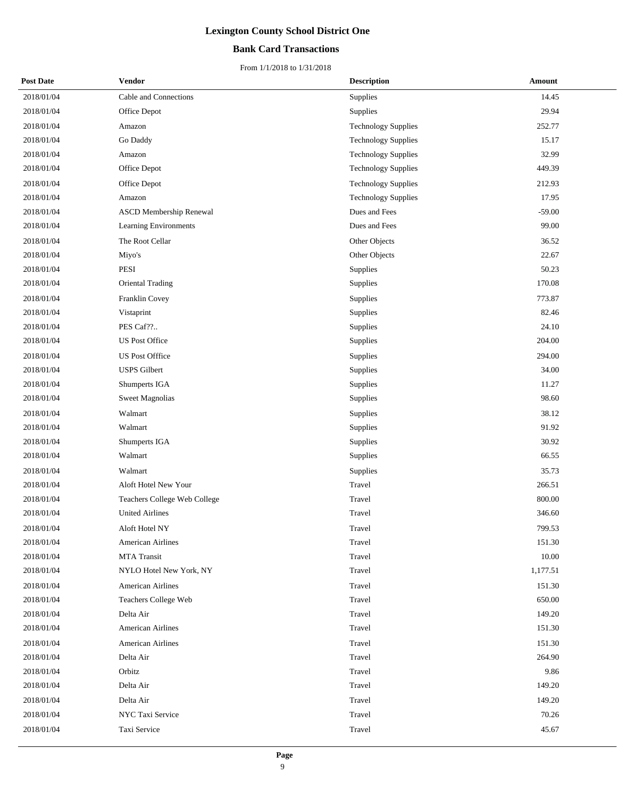### **Bank Card Transactions**

| <b>Post Date</b> | Vendor                         | <b>Description</b>         | Amount   |
|------------------|--------------------------------|----------------------------|----------|
| 2018/01/04       | Cable and Connections          | Supplies                   | 14.45    |
| 2018/01/04       | Office Depot                   | Supplies                   | 29.94    |
| 2018/01/04       | Amazon                         | <b>Technology Supplies</b> | 252.77   |
| 2018/01/04       | Go Daddy                       | <b>Technology Supplies</b> | 15.17    |
| 2018/01/04       | Amazon                         | <b>Technology Supplies</b> | 32.99    |
| 2018/01/04       | Office Depot                   | <b>Technology Supplies</b> | 449.39   |
| 2018/01/04       | Office Depot                   | <b>Technology Supplies</b> | 212.93   |
| 2018/01/04       | Amazon                         | <b>Technology Supplies</b> | 17.95    |
| 2018/01/04       | <b>ASCD Membership Renewal</b> | Dues and Fees              | $-59.00$ |
| 2018/01/04       | Learning Environments          | Dues and Fees              | 99.00    |
| 2018/01/04       | The Root Cellar                | Other Objects              | 36.52    |
| 2018/01/04       | Miyo's                         | Other Objects              | 22.67    |
| 2018/01/04       | PESI                           | Supplies                   | 50.23    |
| 2018/01/04       | Oriental Trading               | Supplies                   | 170.08   |
| 2018/01/04       | Franklin Covey                 | Supplies                   | 773.87   |
| 2018/01/04       | Vistaprint                     | Supplies                   | 82.46    |
| 2018/01/04       | PES Caf??                      | Supplies                   | 24.10    |
| 2018/01/04       | <b>US Post Office</b>          | Supplies                   | 204.00   |
| 2018/01/04       | <b>US Post Offfice</b>         | Supplies                   | 294.00   |
| 2018/01/04       | <b>USPS</b> Gilbert            | Supplies                   | 34.00    |
| 2018/01/04       | Shumperts IGA                  | Supplies                   | 11.27    |
| 2018/01/04       | <b>Sweet Magnolias</b>         | Supplies                   | 98.60    |
| 2018/01/04       | Walmart                        | Supplies                   | 38.12    |
| 2018/01/04       | Walmart                        | Supplies                   | 91.92    |
| 2018/01/04       | Shumperts IGA                  | Supplies                   | 30.92    |
| 2018/01/04       | Walmart                        | Supplies                   | 66.55    |
| 2018/01/04       | Walmart                        | Supplies                   | 35.73    |
| 2018/01/04       | Aloft Hotel New Your           | Travel                     | 266.51   |
| 2018/01/04       | Teachers College Web College   | Travel                     | 800.00   |
| 2018/01/04       | <b>United Airlines</b>         | Travel                     | 346.60   |
| 2018/01/04       | Aloft Hotel NY                 | Travel                     | 799.53   |
| 2018/01/04       | <b>American Airlines</b>       | Travel                     | 151.30   |
| 2018/01/04       | <b>MTA Transit</b>             | Travel                     | 10.00    |
| 2018/01/04       | NYLO Hotel New York, NY        | Travel                     | 1,177.51 |
| 2018/01/04       | <b>American Airlines</b>       | Travel                     | 151.30   |
| 2018/01/04       | Teachers College Web           | Travel                     | 650.00   |
| 2018/01/04       | Delta Air                      | Travel                     | 149.20   |
| 2018/01/04       | <b>American Airlines</b>       | Travel                     | 151.30   |
| 2018/01/04       | <b>American Airlines</b>       | Travel                     | 151.30   |
| 2018/01/04       | Delta Air                      | Travel                     | 264.90   |
| 2018/01/04       | Orbitz                         | Travel                     | 9.86     |
| 2018/01/04       | Delta Air                      | Travel                     | 149.20   |
| 2018/01/04       | Delta Air                      | Travel                     | 149.20   |
| 2018/01/04       | NYC Taxi Service               | Travel                     | 70.26    |
| 2018/01/04       | Taxi Service                   | Travel                     | 45.67    |
|                  |                                |                            |          |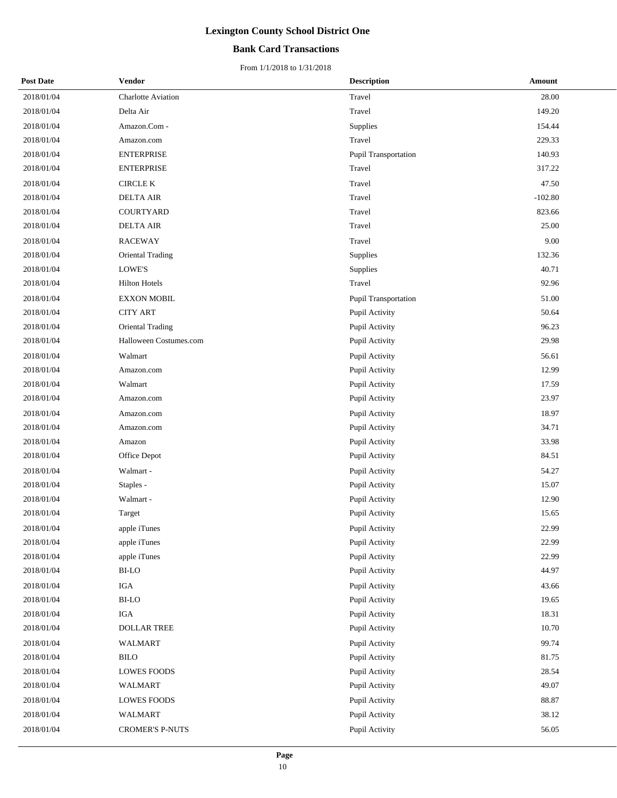### **Bank Card Transactions**

| <b>Post Date</b> | <b>Vendor</b>           | <b>Description</b>          | Amount    |
|------------------|-------------------------|-----------------------------|-----------|
| 2018/01/04       | Charlotte Aviation      | Travel                      | 28.00     |
| 2018/01/04       | Delta Air               | Travel                      | 149.20    |
| 2018/01/04       | Amazon.Com -            | Supplies                    | 154.44    |
| 2018/01/04       | Amazon.com              | Travel                      | 229.33    |
| 2018/01/04       | <b>ENTERPRISE</b>       | Pupil Transportation        | 140.93    |
| 2018/01/04       | <b>ENTERPRISE</b>       | Travel                      | 317.22    |
| 2018/01/04       | <b>CIRCLE K</b>         | Travel                      | 47.50     |
| 2018/01/04       | <b>DELTA AIR</b>        | Travel                      | $-102.80$ |
| 2018/01/04       | COURTYARD               | Travel                      | 823.66    |
| 2018/01/04       | <b>DELTA AIR</b>        | Travel                      | 25.00     |
| 2018/01/04       | <b>RACEWAY</b>          | Travel                      | 9.00      |
| 2018/01/04       | <b>Oriental Trading</b> | <b>Supplies</b>             | 132.36    |
| 2018/01/04       | LOWE'S                  | Supplies                    | 40.71     |
| 2018/01/04       | <b>Hilton Hotels</b>    | Travel                      | 92.96     |
| 2018/01/04       | <b>EXXON MOBIL</b>      | <b>Pupil Transportation</b> | 51.00     |
| 2018/01/04       | <b>CITY ART</b>         | Pupil Activity              | 50.64     |
| 2018/01/04       | <b>Oriental Trading</b> | Pupil Activity              | 96.23     |
| 2018/01/04       | Halloween Costumes.com  | Pupil Activity              | 29.98     |
| 2018/01/04       | Walmart                 | Pupil Activity              | 56.61     |
| 2018/01/04       | Amazon.com              | Pupil Activity              | 12.99     |
| 2018/01/04       | Walmart                 | Pupil Activity              | 17.59     |
| 2018/01/04       | Amazon.com              | Pupil Activity              | 23.97     |
| 2018/01/04       | Amazon.com              | Pupil Activity              | 18.97     |
| 2018/01/04       | Amazon.com              | Pupil Activity              | 34.71     |
| 2018/01/04       | Amazon                  | Pupil Activity              | 33.98     |
| 2018/01/04       | Office Depot            | Pupil Activity              | 84.51     |
| 2018/01/04       | Walmart -               | Pupil Activity              | 54.27     |
| 2018/01/04       | Staples -               | Pupil Activity              | 15.07     |
| 2018/01/04       | Walmart -               | Pupil Activity              | 12.90     |
| 2018/01/04       | Target                  | Pupil Activity              | 15.65     |
| 2018/01/04       | apple iTunes            | Pupil Activity              | 22.99     |
| 2018/01/04       | apple iTunes            | Pupil Activity              | 22.99     |
| 2018/01/04       | apple iTunes            | Pupil Activity              | 22.99     |
| 2018/01/04       | BI-LO                   | Pupil Activity              | 44.97     |
| 2018/01/04       | <b>IGA</b>              | Pupil Activity              | 43.66     |
| 2018/01/04       | BI-LO                   | Pupil Activity              | 19.65     |
| 2018/01/04       | $_{\rm IGA}$            | Pupil Activity              | 18.31     |
| 2018/01/04       | DOLLAR TREE             | Pupil Activity              | 10.70     |
| 2018/01/04       | <b>WALMART</b>          | Pupil Activity              | 99.74     |
| 2018/01/04       | <b>BILO</b>             | Pupil Activity              | 81.75     |
| 2018/01/04       | <b>LOWES FOODS</b>      | Pupil Activity              | 28.54     |
| 2018/01/04       | <b>WALMART</b>          | Pupil Activity              | 49.07     |
| 2018/01/04       | <b>LOWES FOODS</b>      | Pupil Activity              | 88.87     |
| 2018/01/04       | WALMART                 | Pupil Activity              | 38.12     |
| 2018/01/04       | <b>CROMER'S P-NUTS</b>  | Pupil Activity              | 56.05     |
|                  |                         |                             |           |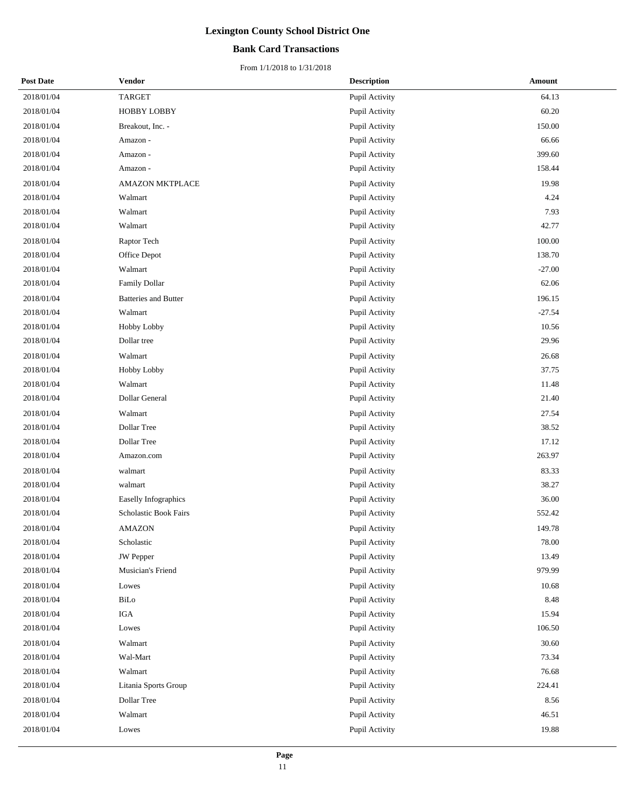### **Bank Card Transactions**

| <b>Post Date</b> | <b>Vendor</b>               | <b>Description</b> | Amount   |
|------------------|-----------------------------|--------------------|----------|
| 2018/01/04       | <b>TARGET</b>               | Pupil Activity     | 64.13    |
| 2018/01/04       | <b>HOBBY LOBBY</b>          | Pupil Activity     | 60.20    |
| 2018/01/04       | Breakout, Inc. -            | Pupil Activity     | 150.00   |
| 2018/01/04       | Amazon -                    | Pupil Activity     | 66.66    |
| 2018/01/04       | Amazon -                    | Pupil Activity     | 399.60   |
| 2018/01/04       | Amazon -                    | Pupil Activity     | 158.44   |
| 2018/01/04       | <b>AMAZON MKTPLACE</b>      | Pupil Activity     | 19.98    |
| 2018/01/04       | Walmart                     | Pupil Activity     | 4.24     |
| 2018/01/04       | Walmart                     | Pupil Activity     | 7.93     |
| 2018/01/04       | Walmart                     | Pupil Activity     | 42.77    |
| 2018/01/04       | Raptor Tech                 | Pupil Activity     | 100.00   |
| 2018/01/04       | Office Depot                | Pupil Activity     | 138.70   |
| 2018/01/04       | Walmart                     | Pupil Activity     | $-27.00$ |
| 2018/01/04       | Family Dollar               | Pupil Activity     | 62.06    |
| 2018/01/04       | <b>Batteries and Butter</b> | Pupil Activity     | 196.15   |
| 2018/01/04       | Walmart                     | Pupil Activity     | $-27.54$ |
| 2018/01/04       | Hobby Lobby                 | Pupil Activity     | 10.56    |
| 2018/01/04       | Dollar tree                 | Pupil Activity     | 29.96    |
| 2018/01/04       | Walmart                     | Pupil Activity     | 26.68    |
| 2018/01/04       | Hobby Lobby                 | Pupil Activity     | 37.75    |
| 2018/01/04       | Walmart                     | Pupil Activity     | 11.48    |
| 2018/01/04       | Dollar General              | Pupil Activity     | 21.40    |
| 2018/01/04       | Walmart                     | Pupil Activity     | 27.54    |
| 2018/01/04       | Dollar Tree                 | Pupil Activity     | 38.52    |
| 2018/01/04       | Dollar Tree                 | Pupil Activity     | 17.12    |
| 2018/01/04       | Amazon.com                  | Pupil Activity     | 263.97   |
| 2018/01/04       | walmart                     | Pupil Activity     | 83.33    |
| 2018/01/04       | walmart                     | Pupil Activity     | 38.27    |
| 2018/01/04       | Easelly Infographics        | Pupil Activity     | 36.00    |
| 2018/01/04       | Scholastic Book Fairs       | Pupil Activity     | 552.42   |
| 2018/01/04       | AMAZON                      | Pupil Activity     | 149.78   |
| 2018/01/04       | Scholastic                  | Pupil Activity     | 78.00    |
| 2018/01/04       | <b>JW</b> Pepper            | Pupil Activity     | 13.49    |
| 2018/01/04       | Musician's Friend           | Pupil Activity     | 979.99   |
| 2018/01/04       | Lowes                       | Pupil Activity     | 10.68    |
| 2018/01/04       | BiLo                        | Pupil Activity     | 8.48     |
| 2018/01/04       | $_{\rm IGA}$                | Pupil Activity     | 15.94    |
| 2018/01/04       | Lowes                       | Pupil Activity     | 106.50   |
| 2018/01/04       | Walmart                     | Pupil Activity     | 30.60    |
| 2018/01/04       | Wal-Mart                    | Pupil Activity     | 73.34    |
| 2018/01/04       | Walmart                     | Pupil Activity     | 76.68    |
| 2018/01/04       | Litania Sports Group        | Pupil Activity     | 224.41   |
| 2018/01/04       | Dollar Tree                 | Pupil Activity     | 8.56     |
| 2018/01/04       | Walmart                     | Pupil Activity     | 46.51    |
| 2018/01/04       | Lowes                       | Pupil Activity     | 19.88    |
|                  |                             |                    |          |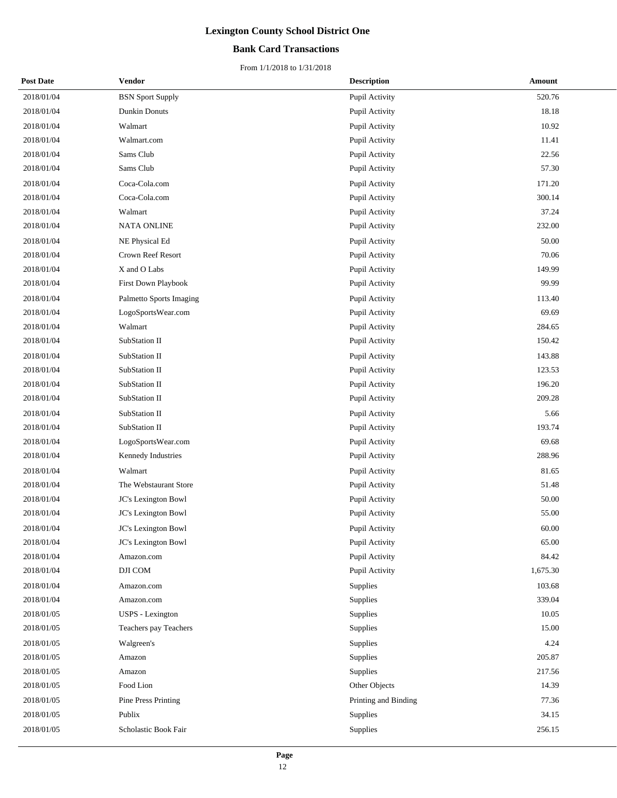### **Bank Card Transactions**

| <b>Post Date</b> | Vendor                     | <b>Description</b>   | Amount   |
|------------------|----------------------------|----------------------|----------|
| 2018/01/04       | <b>BSN</b> Sport Supply    | Pupil Activity       | 520.76   |
| 2018/01/04       | Dunkin Donuts              | Pupil Activity       | 18.18    |
| 2018/01/04       | Walmart                    | Pupil Activity       | 10.92    |
| 2018/01/04       | Walmart.com                | Pupil Activity       | 11.41    |
| 2018/01/04       | Sams Club                  | Pupil Activity       | 22.56    |
| 2018/01/04       | Sams Club                  | Pupil Activity       | 57.30    |
| 2018/01/04       | Coca-Cola.com              | Pupil Activity       | 171.20   |
| 2018/01/04       | Coca-Cola.com              | Pupil Activity       | 300.14   |
| 2018/01/04       | Walmart                    | Pupil Activity       | 37.24    |
| 2018/01/04       | <b>NATA ONLINE</b>         | Pupil Activity       | 232.00   |
| 2018/01/04       | NE Physical Ed             | Pupil Activity       | 50.00    |
| 2018/01/04       | Crown Reef Resort          | Pupil Activity       | 70.06    |
| 2018/01/04       | X and O Labs               | Pupil Activity       | 149.99   |
| 2018/01/04       | First Down Playbook        | Pupil Activity       | 99.99    |
| 2018/01/04       | Palmetto Sports Imaging    | Pupil Activity       | 113.40   |
| 2018/01/04       | LogoSportsWear.com         | Pupil Activity       | 69.69    |
| 2018/01/04       | Walmart                    | Pupil Activity       | 284.65   |
| 2018/01/04       | SubStation II              | Pupil Activity       | 150.42   |
| 2018/01/04       | SubStation II              | Pupil Activity       | 143.88   |
| 2018/01/04       | SubStation II              | Pupil Activity       | 123.53   |
| 2018/01/04       | SubStation II              | Pupil Activity       | 196.20   |
| 2018/01/04       | SubStation II              | Pupil Activity       | 209.28   |
| 2018/01/04       | SubStation II              | Pupil Activity       | 5.66     |
| 2018/01/04       | SubStation II              | Pupil Activity       | 193.74   |
| 2018/01/04       | LogoSportsWear.com         | Pupil Activity       | 69.68    |
| 2018/01/04       | Kennedy Industries         | Pupil Activity       | 288.96   |
| 2018/01/04       | Walmart                    | Pupil Activity       | 81.65    |
| 2018/01/04       | The Webstaurant Store      | Pupil Activity       | 51.48    |
| 2018/01/04       | JC's Lexington Bowl        | Pupil Activity       | 50.00    |
| 2018/01/04       | JC's Lexington Bowl        | Pupil Activity       | 55.00    |
| 2018/01/04       | JC's Lexington Bowl        | Pupil Activity       | 60.00    |
| 2018/01/04       | JC's Lexington Bowl        | Pupil Activity       | 65.00    |
| 2018/01/04       | Amazon.com                 | Pupil Activity       | 84.42    |
| 2018/01/04       | DJI COM                    | Pupil Activity       | 1,675.30 |
| 2018/01/04       | Amazon.com                 | Supplies             | 103.68   |
| 2018/01/04       | Amazon.com                 | Supplies             | 339.04   |
| 2018/01/05       | <b>USPS</b> - Lexington    | Supplies             | 10.05    |
| 2018/01/05       | Teachers pay Teachers      | Supplies             | 15.00    |
| 2018/01/05       | Walgreen's                 | Supplies             | 4.24     |
| 2018/01/05       | Amazon                     | Supplies             | 205.87   |
| 2018/01/05       | Amazon                     | Supplies             | 217.56   |
| 2018/01/05       | Food Lion                  | Other Objects        | 14.39    |
| 2018/01/05       | <b>Pine Press Printing</b> | Printing and Binding | 77.36    |
| 2018/01/05       | Publix                     | Supplies             | 34.15    |
| 2018/01/05       | Scholastic Book Fair       | Supplies             | 256.15   |
|                  |                            |                      |          |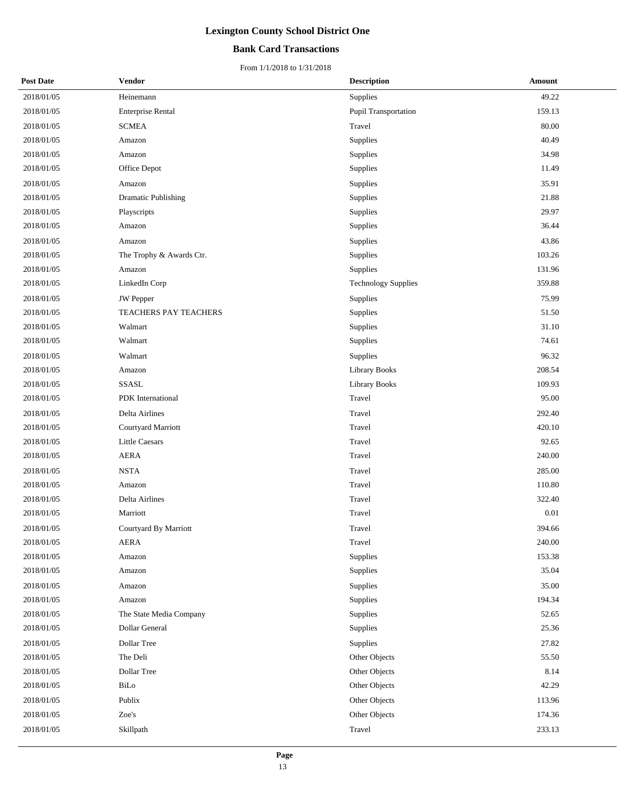### **Bank Card Transactions**

| <b>Post Date</b> | <b>Vendor</b>                | <b>Description</b>         | Amount   |
|------------------|------------------------------|----------------------------|----------|
| 2018/01/05       | Heinemann                    | Supplies                   | 49.22    |
| 2018/01/05       | <b>Enterprise Rental</b>     | Pupil Transportation       | 159.13   |
| 2018/01/05       | SCMEA                        | Travel                     | 80.00    |
| 2018/01/05       | Amazon                       | Supplies                   | 40.49    |
| 2018/01/05       | Amazon                       | Supplies                   | 34.98    |
| 2018/01/05       | Office Depot                 | Supplies                   | 11.49    |
| 2018/01/05       | Amazon                       | Supplies                   | 35.91    |
| 2018/01/05       | Dramatic Publishing          | Supplies                   | 21.88    |
| 2018/01/05       | Playscripts                  | Supplies                   | 29.97    |
| 2018/01/05       | Amazon                       | Supplies                   | 36.44    |
| 2018/01/05       | Amazon                       | Supplies                   | 43.86    |
| 2018/01/05       | The Trophy & Awards Ctr.     | Supplies                   | 103.26   |
| 2018/01/05       | Amazon                       | Supplies                   | 131.96   |
| 2018/01/05       | LinkedIn Corp                | <b>Technology Supplies</b> | 359.88   |
| 2018/01/05       | <b>JW</b> Pepper             | Supplies                   | 75.99    |
| 2018/01/05       | <b>TEACHERS PAY TEACHERS</b> | Supplies                   | 51.50    |
| 2018/01/05       | Walmart                      | Supplies                   | 31.10    |
| 2018/01/05       | Walmart                      | Supplies                   | 74.61    |
| 2018/01/05       | Walmart                      | Supplies                   | 96.32    |
| 2018/01/05       | Amazon                       | <b>Library Books</b>       | 208.54   |
| 2018/01/05       | SSASL                        | Library Books              | 109.93   |
| 2018/01/05       | PDK International            | Travel                     | 95.00    |
| 2018/01/05       | Delta Airlines               | Travel                     | 292.40   |
| 2018/01/05       | Courtyard Marriott           | Travel                     | 420.10   |
| 2018/01/05       | <b>Little Caesars</b>        | Travel                     | 92.65    |
| 2018/01/05       | <b>AERA</b>                  | Travel                     | 240.00   |
| 2018/01/05       | <b>NSTA</b>                  | Travel                     | 285.00   |
| 2018/01/05       | Amazon                       | Travel                     | 110.80   |
| 2018/01/05       | Delta Airlines               | Travel                     | 322.40   |
| 2018/01/05       | Marriott                     | Travel                     | $0.01\,$ |
| 2018/01/05       | Courtyard By Marriott        | Travel                     | 394.66   |
| 2018/01/05       | AERA                         | Travel                     | 240.00   |
| 2018/01/05       | Amazon                       | Supplies                   | 153.38   |
| 2018/01/05       | Amazon                       | Supplies                   | 35.04    |
| 2018/01/05       | Amazon                       | Supplies                   | 35.00    |
| 2018/01/05       | Amazon                       | Supplies                   | 194.34   |
| 2018/01/05       | The State Media Company      | Supplies                   | 52.65    |
| 2018/01/05       | Dollar General               | Supplies                   | 25.36    |
| 2018/01/05       | Dollar Tree                  | Supplies                   | 27.82    |
| 2018/01/05       | The Deli                     | Other Objects              | 55.50    |
| 2018/01/05       | Dollar Tree                  | Other Objects              | 8.14     |
| 2018/01/05       | BiLo                         | Other Objects              | 42.29    |
| 2018/01/05       | Publix                       | Other Objects              | 113.96   |
| 2018/01/05       | Zoe's                        | Other Objects              | 174.36   |
| 2018/01/05       | Skillpath                    | Travel                     | 233.13   |
|                  |                              |                            |          |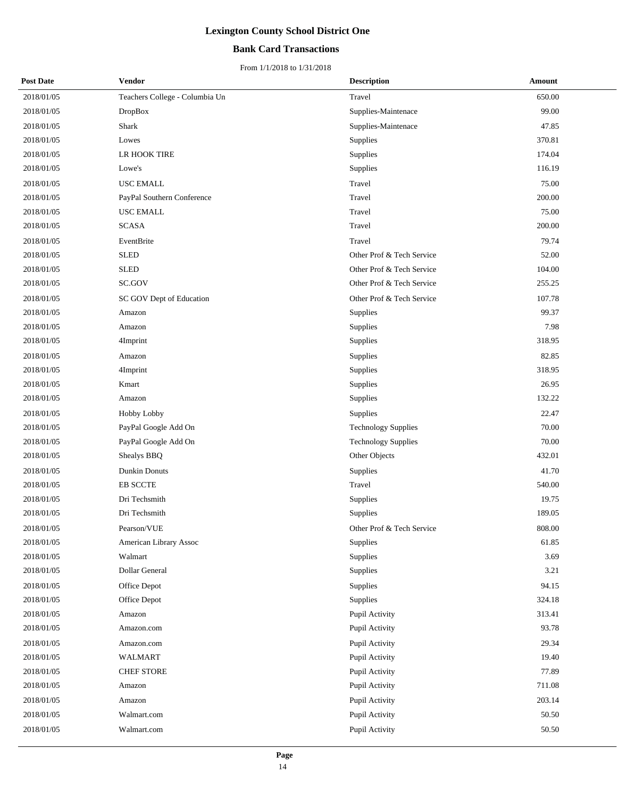### **Bank Card Transactions**

| <b>Post Date</b> | Vendor                         | <b>Description</b>         | Amount |
|------------------|--------------------------------|----------------------------|--------|
| 2018/01/05       | Teachers College - Columbia Un | Travel                     | 650.00 |
| 2018/01/05       | <b>DropBox</b>                 | Supplies-Maintenace        | 99.00  |
| 2018/01/05       | Shark                          | Supplies-Maintenace        | 47.85  |
| 2018/01/05       | Lowes                          | Supplies                   | 370.81 |
| 2018/01/05       | LR HOOK TIRE                   | Supplies                   | 174.04 |
| 2018/01/05       | Lowe's                         | Supplies                   | 116.19 |
| 2018/01/05       | <b>USC EMALL</b>               | Travel                     | 75.00  |
| 2018/01/05       | PayPal Southern Conference     | Travel                     | 200.00 |
| 2018/01/05       | <b>USC EMALL</b>               | Travel                     | 75.00  |
| 2018/01/05       | <b>SCASA</b>                   | Travel                     | 200.00 |
| 2018/01/05       | EventBrite                     | Travel                     | 79.74  |
| 2018/01/05       | <b>SLED</b>                    | Other Prof & Tech Service  | 52.00  |
| 2018/01/05       | <b>SLED</b>                    | Other Prof & Tech Service  | 104.00 |
| 2018/01/05       | SC.GOV                         | Other Prof & Tech Service  | 255.25 |
| 2018/01/05       | SC GOV Dept of Education       | Other Prof & Tech Service  | 107.78 |
| 2018/01/05       | Amazon                         | Supplies                   | 99.37  |
| 2018/01/05       | Amazon                         | Supplies                   | 7.98   |
| 2018/01/05       | 4Imprint                       | Supplies                   | 318.95 |
| 2018/01/05       | Amazon                         | Supplies                   | 82.85  |
| 2018/01/05       | 4Imprint                       | Supplies                   | 318.95 |
| 2018/01/05       | Kmart                          | Supplies                   | 26.95  |
| 2018/01/05       | Amazon                         | Supplies                   | 132.22 |
| 2018/01/05       | Hobby Lobby                    | Supplies                   | 22.47  |
| 2018/01/05       | PayPal Google Add On           | <b>Technology Supplies</b> | 70.00  |
| 2018/01/05       | PayPal Google Add On           | <b>Technology Supplies</b> | 70.00  |
| 2018/01/05       | Shealys BBQ                    | Other Objects              | 432.01 |
| 2018/01/05       | Dunkin Donuts                  | Supplies                   | 41.70  |
| 2018/01/05       | EB SCCTE                       | Travel                     | 540.00 |
| 2018/01/05       | Dri Techsmith                  | Supplies                   | 19.75  |
| 2018/01/05       | Dri Techsmith                  | Supplies                   | 189.05 |
| 2018/01/05       | Pearson/VUE                    | Other Prof & Tech Service  | 808.00 |
| 2018/01/05       | American Library Assoc         | Supplies                   | 61.85  |
| 2018/01/05       | Walmart                        | Supplies                   | 3.69   |
| 2018/01/05       | Dollar General                 | Supplies                   | 3.21   |
| 2018/01/05       | Office Depot                   | Supplies                   | 94.15  |
| 2018/01/05       | Office Depot                   | Supplies                   | 324.18 |
| 2018/01/05       | Amazon                         | Pupil Activity             | 313.41 |
| 2018/01/05       | Amazon.com                     | Pupil Activity             | 93.78  |
| 2018/01/05       | Amazon.com                     | Pupil Activity             | 29.34  |
| 2018/01/05       | <b>WALMART</b>                 | Pupil Activity             | 19.40  |
| 2018/01/05       | <b>CHEF STORE</b>              | Pupil Activity             | 77.89  |
| 2018/01/05       | Amazon                         | Pupil Activity             | 711.08 |
| 2018/01/05       | Amazon                         | Pupil Activity             | 203.14 |
| 2018/01/05       | Walmart.com                    | Pupil Activity             | 50.50  |
| 2018/01/05       | Walmart.com                    | Pupil Activity             | 50.50  |
|                  |                                |                            |        |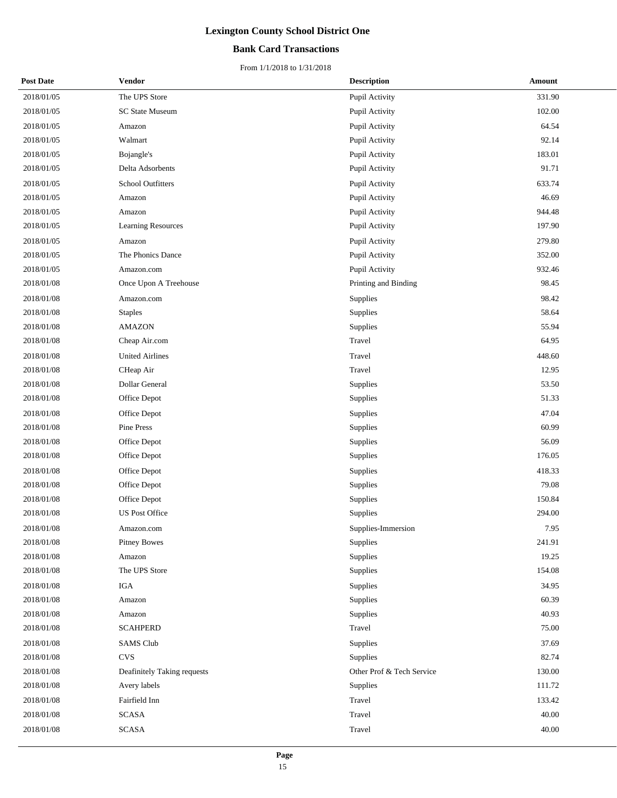### **Bank Card Transactions**

| <b>Post Date</b> | <b>Vendor</b>               | <b>Description</b>        | Amount |
|------------------|-----------------------------|---------------------------|--------|
| 2018/01/05       | The UPS Store               | Pupil Activity            | 331.90 |
| 2018/01/05       | <b>SC State Museum</b>      | Pupil Activity            | 102.00 |
| 2018/01/05       | Amazon                      | Pupil Activity            | 64.54  |
| 2018/01/05       | Walmart                     | Pupil Activity            | 92.14  |
| 2018/01/05       | Bojangle's                  | Pupil Activity            | 183.01 |
| 2018/01/05       | Delta Adsorbents            | Pupil Activity            | 91.71  |
| 2018/01/05       | <b>School Outfitters</b>    | Pupil Activity            | 633.74 |
| 2018/01/05       | Amazon                      | Pupil Activity            | 46.69  |
| 2018/01/05       | Amazon                      | Pupil Activity            | 944.48 |
| 2018/01/05       | Learning Resources          | Pupil Activity            | 197.90 |
| 2018/01/05       | Amazon                      | Pupil Activity            | 279.80 |
| 2018/01/05       | The Phonics Dance           | Pupil Activity            | 352.00 |
| 2018/01/05       | Amazon.com                  | Pupil Activity            | 932.46 |
| 2018/01/08       | Once Upon A Treehouse       | Printing and Binding      | 98.45  |
| 2018/01/08       | Amazon.com                  | Supplies                  | 98.42  |
| 2018/01/08       | <b>Staples</b>              | Supplies                  | 58.64  |
| 2018/01/08       | <b>AMAZON</b>               | Supplies                  | 55.94  |
| 2018/01/08       | Cheap Air.com               | Travel                    | 64.95  |
| 2018/01/08       | <b>United Airlines</b>      | Travel                    | 448.60 |
| 2018/01/08       | CHeap Air                   | Travel                    | 12.95  |
| 2018/01/08       | Dollar General              | Supplies                  | 53.50  |
| 2018/01/08       | Office Depot                | Supplies                  | 51.33  |
| 2018/01/08       | Office Depot                | Supplies                  | 47.04  |
| 2018/01/08       | Pine Press                  | Supplies                  | 60.99  |
| 2018/01/08       | Office Depot                | Supplies                  | 56.09  |
| 2018/01/08       | Office Depot                | Supplies                  | 176.05 |
| 2018/01/08       | Office Depot                | Supplies                  | 418.33 |
| 2018/01/08       | Office Depot                | Supplies                  | 79.08  |
| 2018/01/08       | Office Depot                | Supplies                  | 150.84 |
| 2018/01/08       | <b>US Post Office</b>       | Supplies                  | 294.00 |
| 2018/01/08       | Amazon.com                  | Supplies-Immersion        | 7.95   |
| 2018/01/08       | <b>Pitney Bowes</b>         | Supplies                  | 241.91 |
| 2018/01/08       | Amazon                      | Supplies                  | 19.25  |
| 2018/01/08       | The UPS Store               | Supplies                  | 154.08 |
| 2018/01/08       | <b>IGA</b>                  | Supplies                  | 34.95  |
| 2018/01/08       | Amazon                      | Supplies                  | 60.39  |
| 2018/01/08       | Amazon                      | Supplies                  | 40.93  |
| 2018/01/08       | <b>SCAHPERD</b>             | Travel                    | 75.00  |
| 2018/01/08       | <b>SAMS Club</b>            | Supplies                  | 37.69  |
| 2018/01/08       | <b>CVS</b>                  | Supplies                  | 82.74  |
| 2018/01/08       | Deafinitely Taking requests | Other Prof & Tech Service | 130.00 |
| 2018/01/08       | Avery labels                | Supplies                  | 111.72 |
| 2018/01/08       | Fairfield Inn               | Travel                    | 133.42 |
| 2018/01/08       | <b>SCASA</b>                | Travel                    | 40.00  |
| 2018/01/08       | <b>SCASA</b>                | Travel                    | 40.00  |
|                  |                             |                           |        |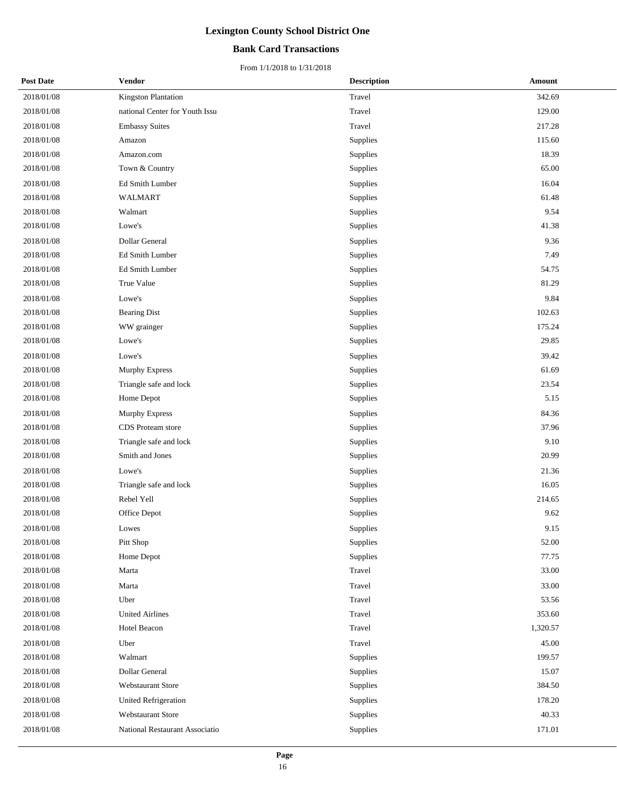### **Bank Card Transactions**

| <b>Post Date</b> | <b>Vendor</b>                  | <b>Description</b> | Amount   |
|------------------|--------------------------------|--------------------|----------|
| 2018/01/08       | Kingston Plantation            | Travel             | 342.69   |
| 2018/01/08       | national Center for Youth Issu | Travel             | 129.00   |
| 2018/01/08       | <b>Embassy Suites</b>          | Travel             | 217.28   |
| 2018/01/08       | Amazon                         | Supplies           | 115.60   |
| 2018/01/08       | Amazon.com                     | Supplies           | 18.39    |
| 2018/01/08       | Town & Country                 | Supplies           | 65.00    |
| 2018/01/08       | Ed Smith Lumber                | Supplies           | 16.04    |
| 2018/01/08       | <b>WALMART</b>                 | Supplies           | 61.48    |
| 2018/01/08       | Walmart                        | Supplies           | 9.54     |
| 2018/01/08       | Lowe's                         | Supplies           | 41.38    |
| 2018/01/08       | Dollar General                 | Supplies           | 9.36     |
| 2018/01/08       | Ed Smith Lumber                | Supplies           | 7.49     |
| 2018/01/08       | Ed Smith Lumber                | Supplies           | 54.75    |
| 2018/01/08       | True Value                     | Supplies           | 81.29    |
| 2018/01/08       | Lowe's                         | Supplies           | 9.84     |
| 2018/01/08       | <b>Bearing Dist</b>            | Supplies           | 102.63   |
| 2018/01/08       | WW grainger                    | Supplies           | 175.24   |
| 2018/01/08       | Lowe's                         | Supplies           | 29.85    |
| 2018/01/08       | Lowe's                         | Supplies           | 39.42    |
| 2018/01/08       | Murphy Express                 | Supplies           | 61.69    |
| 2018/01/08       | Triangle safe and lock         | Supplies           | 23.54    |
| 2018/01/08       | Home Depot                     | Supplies           | 5.15     |
| 2018/01/08       | Murphy Express                 | Supplies           | 84.36    |
| 2018/01/08       | CDS Proteam store              | Supplies           | 37.96    |
| 2018/01/08       | Triangle safe and lock         | Supplies           | 9.10     |
| 2018/01/08       | Smith and Jones                | Supplies           | 20.99    |
| 2018/01/08       | Lowe's                         | Supplies           | 21.36    |
| 2018/01/08       | Triangle safe and lock         | Supplies           | 16.05    |
| 2018/01/08       | Rebel Yell                     | Supplies           | 214.65   |
| 2018/01/08       | Office Depot                   | Supplies           | 9.62     |
| 2018/01/08       | Lowes                          | Supplies           | 9.15     |
| 2018/01/08       | Pitt Shop                      | Supplies           | 52.00    |
| 2018/01/08       | Home Depot                     | Supplies           | 77.75    |
| 2018/01/08       | Marta                          | Travel             | 33.00    |
| 2018/01/08       | Marta                          | Travel             | 33.00    |
| 2018/01/08       | Uber                           | Travel             | 53.56    |
| 2018/01/08       | <b>United Airlines</b>         | Travel             | 353.60   |
| 2018/01/08       | Hotel Beacon                   | Travel             | 1,320.57 |
| 2018/01/08       | Uber                           | Travel             | 45.00    |
| 2018/01/08       | Walmart                        | Supplies           | 199.57   |
| 2018/01/08       | Dollar General                 | Supplies           | 15.07    |
| 2018/01/08       | <b>Webstaurant Store</b>       | Supplies           | 384.50   |
| 2018/01/08       | <b>United Refrigeration</b>    | Supplies           | 178.20   |
| 2018/01/08       | Webstaurant Store              | Supplies           | 40.33    |
| 2018/01/08       | National Restaurant Associatio | Supplies           | 171.01   |
|                  |                                |                    |          |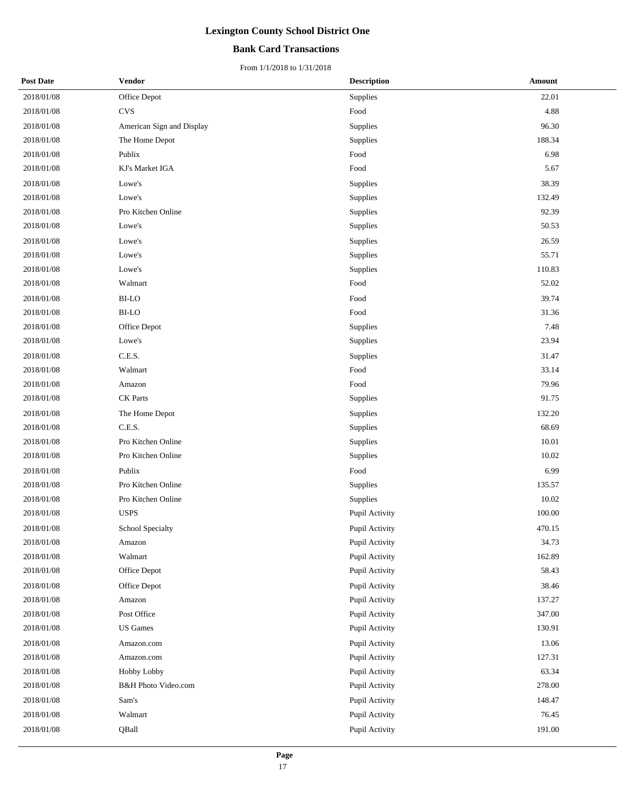### **Bank Card Transactions**

| <b>Post Date</b> | <b>Vendor</b>             | <b>Description</b> | Amount |
|------------------|---------------------------|--------------------|--------|
| 2018/01/08       | Office Depot              | Supplies           | 22.01  |
| 2018/01/08       | <b>CVS</b>                | Food               | 4.88   |
| 2018/01/08       | American Sign and Display | Supplies           | 96.30  |
| 2018/01/08       | The Home Depot            | Supplies           | 188.34 |
| 2018/01/08       | Publix                    | Food               | 6.98   |
| 2018/01/08       | KJ's Market IGA           | Food               | 5.67   |
| 2018/01/08       | Lowe's                    | Supplies           | 38.39  |
| 2018/01/08       | Lowe's                    | Supplies           | 132.49 |
| 2018/01/08       | Pro Kitchen Online        | Supplies           | 92.39  |
| 2018/01/08       | Lowe's                    | Supplies           | 50.53  |
| 2018/01/08       | Lowe's                    | Supplies           | 26.59  |
| 2018/01/08       | Lowe's                    | Supplies           | 55.71  |
| 2018/01/08       | Lowe's                    | Supplies           | 110.83 |
| 2018/01/08       | Walmart                   | Food               | 52.02  |
| 2018/01/08       | <b>BI-LO</b>              | Food               | 39.74  |
| 2018/01/08       | <b>BI-LO</b>              | Food               | 31.36  |
| 2018/01/08       | Office Depot              | Supplies           | 7.48   |
| 2018/01/08       | Lowe's                    | Supplies           | 23.94  |
| 2018/01/08       | C.E.S.                    | Supplies           | 31.47  |
| 2018/01/08       | Walmart                   | Food               | 33.14  |
| 2018/01/08       | Amazon                    | Food               | 79.96  |
| 2018/01/08       | <b>CK</b> Parts           | Supplies           | 91.75  |
| 2018/01/08       | The Home Depot            | Supplies           | 132.20 |
| 2018/01/08       | C.E.S.                    | Supplies           | 68.69  |
| 2018/01/08       | Pro Kitchen Online        | Supplies           | 10.01  |
| 2018/01/08       | Pro Kitchen Online        | Supplies           | 10.02  |
| 2018/01/08       | Publix                    | Food               | 6.99   |
| 2018/01/08       | Pro Kitchen Online        | Supplies           | 135.57 |
| 2018/01/08       | Pro Kitchen Online        | Supplies           | 10.02  |
| 2018/01/08       | <b>USPS</b>               | Pupil Activity     | 100.00 |
| 2018/01/08       | School Specialty          | Pupil Activity     | 470.15 |
| 2018/01/08       | Amazon                    | Pupil Activity     | 34.73  |
| 2018/01/08       | Walmart                   | Pupil Activity     | 162.89 |
| 2018/01/08       | Office Depot              | Pupil Activity     | 58.43  |
| 2018/01/08       | Office Depot              | Pupil Activity     | 38.46  |
| 2018/01/08       | Amazon                    | Pupil Activity     | 137.27 |
| 2018/01/08       | Post Office               | Pupil Activity     | 347.00 |
| 2018/01/08       | <b>US</b> Games           | Pupil Activity     | 130.91 |
| 2018/01/08       | Amazon.com                | Pupil Activity     | 13.06  |
| 2018/01/08       | Amazon.com                | Pupil Activity     | 127.31 |
| 2018/01/08       | Hobby Lobby               | Pupil Activity     | 63.34  |
| 2018/01/08       | B&H Photo Video.com       | Pupil Activity     | 278.00 |
| 2018/01/08       | Sam's                     | Pupil Activity     | 148.47 |
| 2018/01/08       | Walmart                   | Pupil Activity     | 76.45  |
| 2018/01/08       | QBall                     | Pupil Activity     | 191.00 |
|                  |                           |                    |        |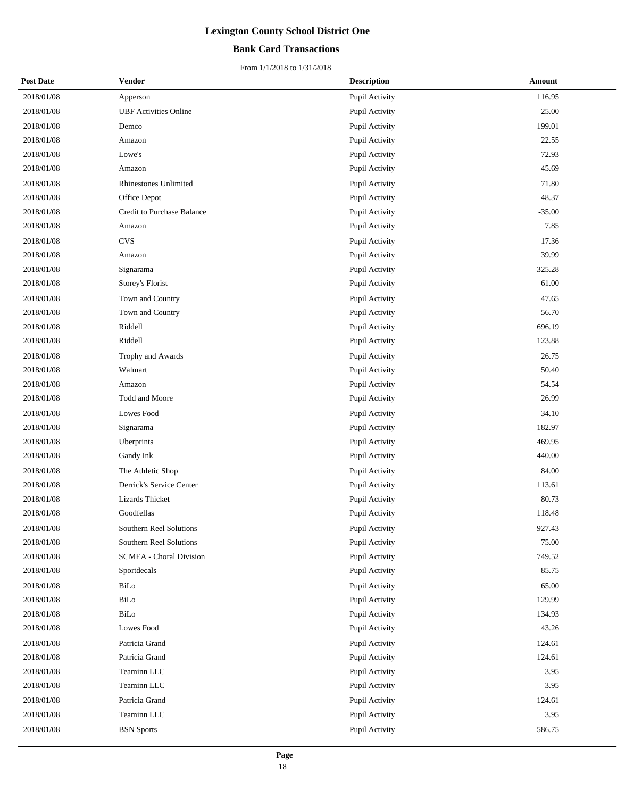### **Bank Card Transactions**

| <b>Post Date</b> | <b>Vendor</b>                  | <b>Description</b> | <b>Amount</b> |
|------------------|--------------------------------|--------------------|---------------|
| 2018/01/08       | Apperson                       | Pupil Activity     | 116.95        |
| 2018/01/08       | <b>UBF</b> Activities Online   | Pupil Activity     | 25.00         |
| 2018/01/08       | Demco                          | Pupil Activity     | 199.01        |
| 2018/01/08       | Amazon                         | Pupil Activity     | 22.55         |
| 2018/01/08       | Lowe's                         | Pupil Activity     | 72.93         |
| 2018/01/08       | Amazon                         | Pupil Activity     | 45.69         |
| 2018/01/08       | <b>Rhinestones Unlimited</b>   | Pupil Activity     | 71.80         |
| 2018/01/08       | Office Depot                   | Pupil Activity     | 48.37         |
| 2018/01/08       | Credit to Purchase Balance     | Pupil Activity     | $-35.00$      |
| 2018/01/08       | Amazon                         | Pupil Activity     | 7.85          |
| 2018/01/08       | <b>CVS</b>                     | Pupil Activity     | 17.36         |
| 2018/01/08       | Amazon                         | Pupil Activity     | 39.99         |
| 2018/01/08       | Signarama                      | Pupil Activity     | 325.28        |
| 2018/01/08       | Storey's Florist               | Pupil Activity     | 61.00         |
| 2018/01/08       | Town and Country               | Pupil Activity     | 47.65         |
| 2018/01/08       | Town and Country               | Pupil Activity     | 56.70         |
| 2018/01/08       | Riddell                        | Pupil Activity     | 696.19        |
| 2018/01/08       | Riddell                        | Pupil Activity     | 123.88        |
| 2018/01/08       | Trophy and Awards              | Pupil Activity     | 26.75         |
| 2018/01/08       | Walmart                        | Pupil Activity     | 50.40         |
| 2018/01/08       | Amazon                         | Pupil Activity     | 54.54         |
| 2018/01/08       | Todd and Moore                 | Pupil Activity     | 26.99         |
| 2018/01/08       | Lowes Food                     | Pupil Activity     | 34.10         |
| 2018/01/08       | Signarama                      | Pupil Activity     | 182.97        |
| 2018/01/08       | Uberprints                     | Pupil Activity     | 469.95        |
| 2018/01/08       | Gandy Ink                      | Pupil Activity     | 440.00        |
| 2018/01/08       | The Athletic Shop              | Pupil Activity     | 84.00         |
| 2018/01/08       | Derrick's Service Center       | Pupil Activity     | 113.61        |
| 2018/01/08       | Lizards Thicket                | Pupil Activity     | 80.73         |
| 2018/01/08       | Goodfellas                     | Pupil Activity     | 118.48        |
| 2018/01/08       | Southern Reel Solutions        | Pupil Activity     | 927.43        |
| 2018/01/08       | Southern Reel Solutions        | Pupil Activity     | 75.00         |
| 2018/01/08       | <b>SCMEA - Choral Division</b> | Pupil Activity     | 749.52        |
| 2018/01/08       | Sportdecals                    | Pupil Activity     | 85.75         |
| 2018/01/08       | BiLo                           | Pupil Activity     | 65.00         |
| 2018/01/08       | BiLo                           | Pupil Activity     | 129.99        |
| 2018/01/08       | BiLo                           | Pupil Activity     | 134.93        |
| 2018/01/08       | Lowes Food                     | Pupil Activity     | 43.26         |
| 2018/01/08       | Patricia Grand                 | Pupil Activity     | 124.61        |
| 2018/01/08       | Patricia Grand                 | Pupil Activity     | 124.61        |
| 2018/01/08       | Teaminn LLC                    | Pupil Activity     | 3.95          |
| 2018/01/08       | Teaminn LLC                    | Pupil Activity     | 3.95          |
| 2018/01/08       | Patricia Grand                 | Pupil Activity     | 124.61        |
| 2018/01/08       | Teaminn LLC                    | Pupil Activity     | 3.95          |
| 2018/01/08       | <b>BSN</b> Sports              | Pupil Activity     | 586.75        |
|                  |                                |                    |               |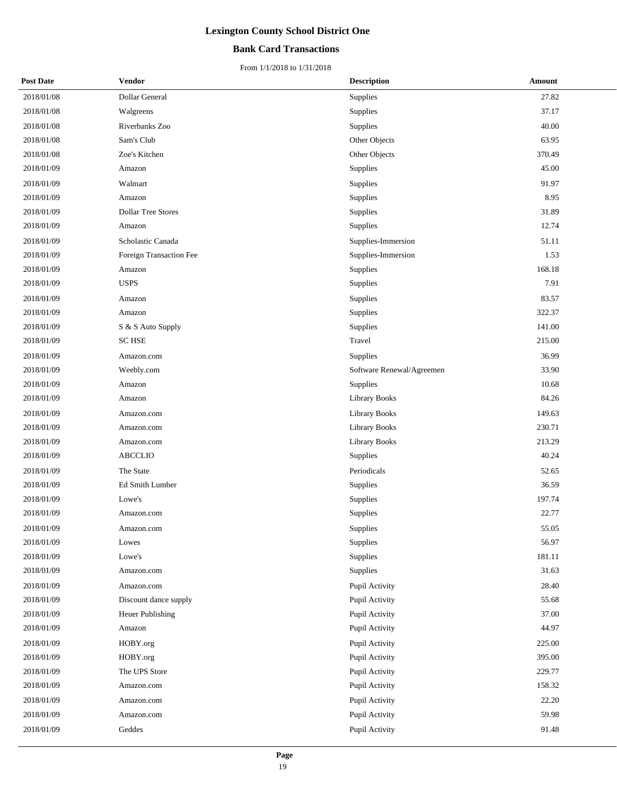### **Bank Card Transactions**

| <b>Post Date</b> | <b>Vendor</b>             | <b>Description</b>        | <b>Amount</b> |
|------------------|---------------------------|---------------------------|---------------|
| 2018/01/08       | Dollar General            | Supplies                  | 27.82         |
| 2018/01/08       | Walgreens                 | Supplies                  | 37.17         |
| 2018/01/08       | Riverbanks Zoo            | Supplies                  | 40.00         |
| 2018/01/08       | Sam's Club                | Other Objects             | 63.95         |
| 2018/01/08       | Zoe's Kitchen             | Other Objects             | 370.49        |
| 2018/01/09       | Amazon                    | Supplies                  | 45.00         |
| 2018/01/09       | Walmart                   | Supplies                  | 91.97         |
| 2018/01/09       | Amazon                    | Supplies                  | 8.95          |
| 2018/01/09       | <b>Dollar Tree Stores</b> | Supplies                  | 31.89         |
| 2018/01/09       | Amazon                    | Supplies                  | 12.74         |
| 2018/01/09       | Scholastic Canada         | Supplies-Immersion        | 51.11         |
| 2018/01/09       | Foreign Transaction Fee   | Supplies-Immersion        | 1.53          |
| 2018/01/09       | Amazon                    | Supplies                  | 168.18        |
| 2018/01/09       | <b>USPS</b>               | Supplies                  | 7.91          |
| 2018/01/09       | Amazon                    | Supplies                  | 83.57         |
| 2018/01/09       | Amazon                    | Supplies                  | 322.37        |
| 2018/01/09       | S & S Auto Supply         | Supplies                  | 141.00        |
| 2018/01/09       | <b>SC HSE</b>             | Travel                    | 215.00        |
| 2018/01/09       | Amazon.com                | Supplies                  | 36.99         |
| 2018/01/09       | Weebly.com                | Software Renewal/Agreemen | 33.90         |
| 2018/01/09       | Amazon                    | Supplies                  | 10.68         |
| 2018/01/09       | Amazon                    | Library Books             | 84.26         |
| 2018/01/09       | Amazon.com                | <b>Library Books</b>      | 149.63        |
| 2018/01/09       | Amazon.com                | <b>Library Books</b>      | 230.71        |
| 2018/01/09       | Amazon.com                | <b>Library Books</b>      | 213.29        |
| 2018/01/09       | <b>ABCCLIO</b>            | Supplies                  | 40.24         |
| 2018/01/09       | The State                 | Periodicals               | 52.65         |
| 2018/01/09       | Ed Smith Lumber           | Supplies                  | 36.59         |
| 2018/01/09       | Lowe's                    | Supplies                  | 197.74        |
| 2018/01/09       | Amazon.com                | Supplies                  | 22.77         |
| 2018/01/09       | Amazon.com                | Supplies                  | 55.05         |
| 2018/01/09       | Lowes                     | Supplies                  | 56.97         |
| 2018/01/09       | Lowe's                    | Supplies                  | 181.11        |
| 2018/01/09       | Amazon.com                | Supplies                  | 31.63         |
| 2018/01/09       | Amazon.com                | Pupil Activity            | 28.40         |
| 2018/01/09       | Discount dance supply     | Pupil Activity            | 55.68         |
| 2018/01/09       | Heuer Publishing          | Pupil Activity            | 37.00         |
| 2018/01/09       | Amazon                    | Pupil Activity            | 44.97         |
| 2018/01/09       | HOBY.org                  | Pupil Activity            | 225.00        |
| 2018/01/09       | HOBY.org                  | Pupil Activity            | 395.00        |
| 2018/01/09       | The UPS Store             | Pupil Activity            | 229.77        |
| 2018/01/09       | Amazon.com                | Pupil Activity            | 158.32        |
| 2018/01/09       | Amazon.com                | Pupil Activity            | 22.20         |
| 2018/01/09       | Amazon.com                | Pupil Activity            | 59.98         |
| 2018/01/09       | Geddes                    | Pupil Activity            | 91.48         |
|                  |                           |                           |               |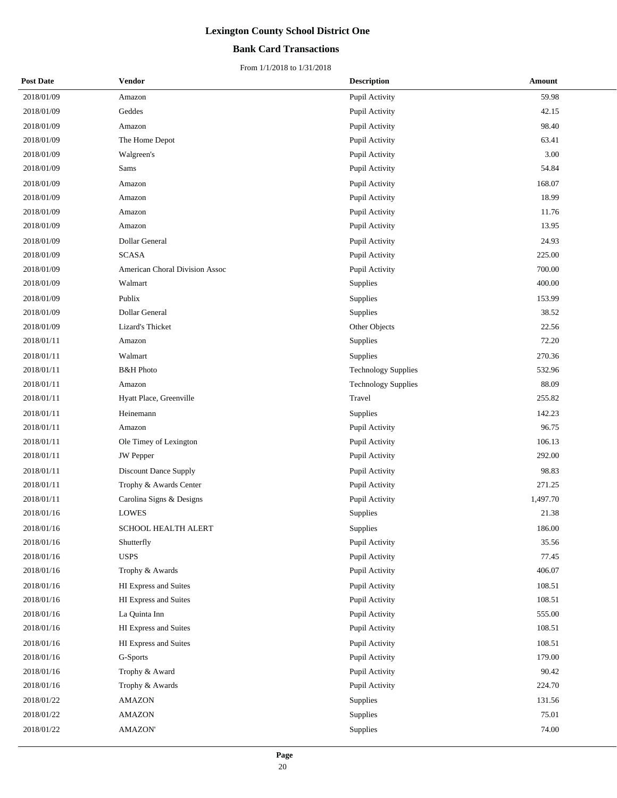### **Bank Card Transactions**

| <b>Post Date</b> | <b>Vendor</b>                  | <b>Description</b>         | <b>Amount</b> |
|------------------|--------------------------------|----------------------------|---------------|
| 2018/01/09       | Amazon                         | Pupil Activity             | 59.98         |
| 2018/01/09       | Geddes                         | Pupil Activity             | 42.15         |
| 2018/01/09       | Amazon                         | Pupil Activity             | 98.40         |
| 2018/01/09       | The Home Depot                 | Pupil Activity             | 63.41         |
| 2018/01/09       | Walgreen's                     | Pupil Activity             | 3.00          |
| 2018/01/09       | Sams                           | Pupil Activity             | 54.84         |
| 2018/01/09       | Amazon                         | Pupil Activity             | 168.07        |
| 2018/01/09       | Amazon                         | Pupil Activity             | 18.99         |
| 2018/01/09       | Amazon                         | Pupil Activity             | 11.76         |
| 2018/01/09       | Amazon                         | Pupil Activity             | 13.95         |
| 2018/01/09       | Dollar General                 | Pupil Activity             | 24.93         |
| 2018/01/09       | <b>SCASA</b>                   | Pupil Activity             | 225.00        |
| 2018/01/09       | American Choral Division Assoc | Pupil Activity             | 700.00        |
| 2018/01/09       | Walmart                        | Supplies                   | 400.00        |
| 2018/01/09       | Publix                         | Supplies                   | 153.99        |
| 2018/01/09       | Dollar General                 | <b>Supplies</b>            | 38.52         |
| 2018/01/09       | Lizard's Thicket               | Other Objects              | 22.56         |
| 2018/01/11       | Amazon                         | Supplies                   | 72.20         |
| 2018/01/11       | Walmart                        | Supplies                   | 270.36        |
| 2018/01/11       | <b>B&amp;H</b> Photo           | <b>Technology Supplies</b> | 532.96        |
| 2018/01/11       | Amazon                         | <b>Technology Supplies</b> | 88.09         |
| 2018/01/11       | Hyatt Place, Greenville        | Travel                     | 255.82        |
| 2018/01/11       | Heinemann                      | Supplies                   | 142.23        |
| 2018/01/11       | Amazon                         | Pupil Activity             | 96.75         |
| 2018/01/11       | Ole Timey of Lexington         | Pupil Activity             | 106.13        |
| 2018/01/11       | <b>JW</b> Pepper               | Pupil Activity             | 292.00        |
| 2018/01/11       | Discount Dance Supply          | Pupil Activity             | 98.83         |
| 2018/01/11       | Trophy & Awards Center         | Pupil Activity             | 271.25        |
| 2018/01/11       | Carolina Signs & Designs       | Pupil Activity             | 1,497.70      |
| 2018/01/16       | <b>LOWES</b>                   | Supplies                   | 21.38         |
| 2018/01/16       | SCHOOL HEALTH ALERT            | Supplies                   | 186.00        |
| 2018/01/16       | Shutterfly                     | Pupil Activity             | 35.56         |
| 2018/01/16       | <b>USPS</b>                    | Pupil Activity             | 77.45         |
| 2018/01/16       | Trophy & Awards                | Pupil Activity             | 406.07        |
| 2018/01/16       | HI Express and Suites          | Pupil Activity             | 108.51        |
| 2018/01/16       | HI Express and Suites          | Pupil Activity             | 108.51        |
| 2018/01/16       | La Quinta Inn                  | Pupil Activity             | 555.00        |
| 2018/01/16       | HI Express and Suites          | Pupil Activity             | 108.51        |
| 2018/01/16       | HI Express and Suites          | Pupil Activity             | 108.51        |
| 2018/01/16       | G-Sports                       | Pupil Activity             | 179.00        |
| 2018/01/16       | Trophy & Award                 | Pupil Activity             | 90.42         |
| 2018/01/16       | Trophy & Awards                | Pupil Activity             | 224.70        |
| 2018/01/22       | AMAZON                         | Supplies                   | 131.56        |
| 2018/01/22       | <b>AMAZON</b>                  | Supplies                   | 75.01         |
| 2018/01/22       | <b>AMAZON'</b>                 | Supplies                   | 74.00         |
|                  |                                |                            |               |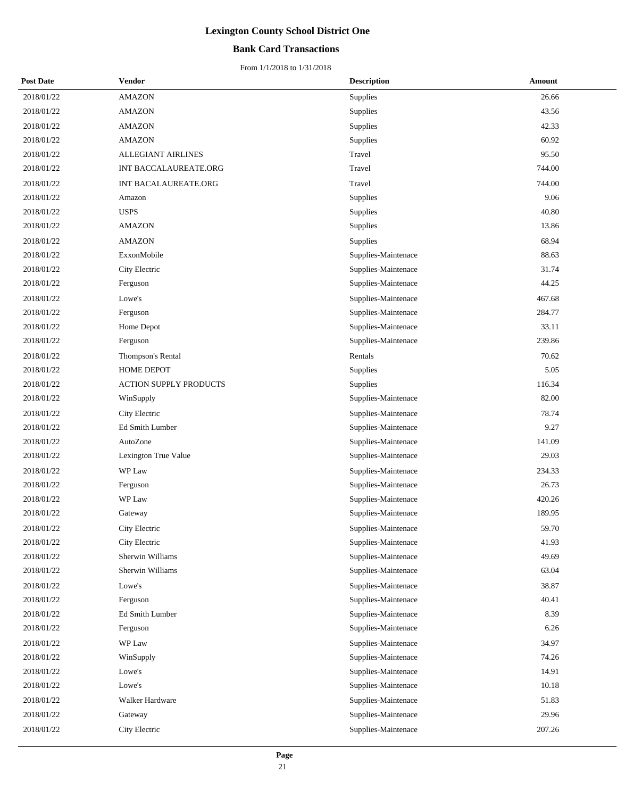### **Bank Card Transactions**

| <b>Post Date</b> | <b>Vendor</b>                 | <b>Description</b>  | Amount |
|------------------|-------------------------------|---------------------|--------|
| 2018/01/22       | <b>AMAZON</b>                 | Supplies            | 26.66  |
| 2018/01/22       | <b>AMAZON</b>                 | Supplies            | 43.56  |
| 2018/01/22       | <b>AMAZON</b>                 | Supplies            | 42.33  |
| 2018/01/22       | <b>AMAZON</b>                 | Supplies            | 60.92  |
| 2018/01/22       | ALLEGIANT AIRLINES            | Travel              | 95.50  |
| 2018/01/22       | INT BACCALAUREATE.ORG         | Travel              | 744.00 |
| 2018/01/22       | INT BACALAUREATE.ORG          | Travel              | 744.00 |
| 2018/01/22       | Amazon                        | <b>Supplies</b>     | 9.06   |
| 2018/01/22       | <b>USPS</b>                   | Supplies            | 40.80  |
| 2018/01/22       | <b>AMAZON</b>                 | Supplies            | 13.86  |
| 2018/01/22       | <b>AMAZON</b>                 | Supplies            | 68.94  |
| 2018/01/22       | ExxonMobile                   | Supplies-Maintenace | 88.63  |
| 2018/01/22       | City Electric                 | Supplies-Maintenace | 31.74  |
| 2018/01/22       | Ferguson                      | Supplies-Maintenace | 44.25  |
| 2018/01/22       | Lowe's                        | Supplies-Maintenace | 467.68 |
| 2018/01/22       | Ferguson                      | Supplies-Maintenace | 284.77 |
| 2018/01/22       | Home Depot                    | Supplies-Maintenace | 33.11  |
| 2018/01/22       | Ferguson                      | Supplies-Maintenace | 239.86 |
| 2018/01/22       | Thompson's Rental             | Rentals             | 70.62  |
| 2018/01/22       | <b>HOME DEPOT</b>             | Supplies            | 5.05   |
| 2018/01/22       | <b>ACTION SUPPLY PRODUCTS</b> | Supplies            | 116.34 |
| 2018/01/22       | WinSupply                     | Supplies-Maintenace | 82.00  |
| 2018/01/22       | City Electric                 | Supplies-Maintenace | 78.74  |
| 2018/01/22       | Ed Smith Lumber               | Supplies-Maintenace | 9.27   |
| 2018/01/22       | AutoZone                      | Supplies-Maintenace | 141.09 |
| 2018/01/22       | Lexington True Value          | Supplies-Maintenace | 29.03  |
| 2018/01/22       | WP Law                        | Supplies-Maintenace | 234.33 |
| 2018/01/22       | Ferguson                      | Supplies-Maintenace | 26.73  |
| 2018/01/22       | WP Law                        | Supplies-Maintenace | 420.26 |
| 2018/01/22       | Gateway                       | Supplies-Maintenace | 189.95 |
| 2018/01/22       | City Electric                 | Supplies-Maintenace | 59.70  |
| 2018/01/22       | City Electric                 | Supplies-Maintenace | 41.93  |
| 2018/01/22       | Sherwin Williams              | Supplies-Maintenace | 49.69  |
| 2018/01/22       | Sherwin Williams              | Supplies-Maintenace | 63.04  |
| 2018/01/22       | Lowe's                        | Supplies-Maintenace | 38.87  |
| 2018/01/22       | Ferguson                      | Supplies-Maintenace | 40.41  |
| 2018/01/22       | Ed Smith Lumber               | Supplies-Maintenace | 8.39   |
| 2018/01/22       | Ferguson                      | Supplies-Maintenace | 6.26   |
| 2018/01/22       | WP Law                        | Supplies-Maintenace | 34.97  |
| 2018/01/22       | WinSupply                     | Supplies-Maintenace | 74.26  |
| 2018/01/22       | Lowe's                        | Supplies-Maintenace | 14.91  |
| 2018/01/22       | Lowe's                        | Supplies-Maintenace | 10.18  |
| 2018/01/22       | Walker Hardware               | Supplies-Maintenace | 51.83  |
| 2018/01/22       | Gateway                       | Supplies-Maintenace | 29.96  |
| 2018/01/22       | City Electric                 | Supplies-Maintenace | 207.26 |
|                  |                               |                     |        |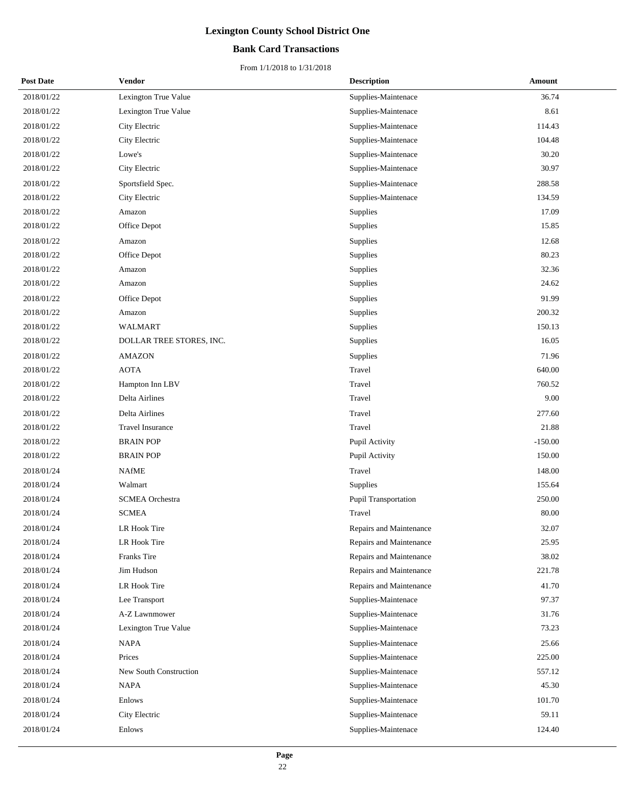### **Bank Card Transactions**

| <b>Post Date</b> | Vendor                   | <b>Description</b>          | Amount    |
|------------------|--------------------------|-----------------------------|-----------|
| 2018/01/22       | Lexington True Value     | Supplies-Maintenace         | 36.74     |
| 2018/01/22       | Lexington True Value     | Supplies-Maintenace         | 8.61      |
| 2018/01/22       | City Electric            | Supplies-Maintenace         | 114.43    |
| 2018/01/22       | City Electric            | Supplies-Maintenace         | 104.48    |
| 2018/01/22       | Lowe's                   | Supplies-Maintenace         | 30.20     |
| 2018/01/22       | City Electric            | Supplies-Maintenace         | 30.97     |
| 2018/01/22       | Sportsfield Spec.        | Supplies-Maintenace         | 288.58    |
| 2018/01/22       | City Electric            | Supplies-Maintenace         | 134.59    |
| 2018/01/22       | Amazon                   | Supplies                    | 17.09     |
| 2018/01/22       | Office Depot             | Supplies                    | 15.85     |
| 2018/01/22       | Amazon                   | Supplies                    | 12.68     |
| 2018/01/22       | Office Depot             | Supplies                    | 80.23     |
| 2018/01/22       | Amazon                   | Supplies                    | 32.36     |
| 2018/01/22       | Amazon                   | Supplies                    | 24.62     |
| 2018/01/22       | Office Depot             | Supplies                    | 91.99     |
| 2018/01/22       | Amazon                   | Supplies                    | 200.32    |
| 2018/01/22       | WALMART                  | Supplies                    | 150.13    |
| 2018/01/22       | DOLLAR TREE STORES, INC. | Supplies                    | 16.05     |
| 2018/01/22       | <b>AMAZON</b>            | Supplies                    | 71.96     |
| 2018/01/22       | <b>AOTA</b>              | Travel                      | 640.00    |
| 2018/01/22       | Hampton Inn LBV          | Travel                      | 760.52    |
| 2018/01/22       | Delta Airlines           | Travel                      | 9.00      |
| 2018/01/22       | Delta Airlines           | Travel                      | 277.60    |
| 2018/01/22       | <b>Travel Insurance</b>  | Travel                      | 21.88     |
| 2018/01/22       | <b>BRAIN POP</b>         | Pupil Activity              | $-150.00$ |
| 2018/01/22       | <b>BRAIN POP</b>         | Pupil Activity              | 150.00    |
| 2018/01/24       | <b>NAfME</b>             | Travel                      | 148.00    |
| 2018/01/24       | Walmart                  | Supplies                    | 155.64    |
| 2018/01/24       | <b>SCMEA</b> Orchestra   | <b>Pupil Transportation</b> | 250.00    |
| 2018/01/24       | <b>SCMEA</b>             | Travel                      | 80.00     |
| 2018/01/24       | LR Hook Tire             | Repairs and Maintenance     | 32.07     |
| 2018/01/24       | LR Hook Tire             | Repairs and Maintenance     | 25.95     |
| 2018/01/24       | <b>Franks Tire</b>       | Repairs and Maintenance     | 38.02     |
| 2018/01/24       | Jim Hudson               | Repairs and Maintenance     | 221.78    |
| 2018/01/24       | LR Hook Tire             | Repairs and Maintenance     | 41.70     |
| 2018/01/24       | Lee Transport            | Supplies-Maintenace         | 97.37     |
| 2018/01/24       | A-Z Lawnmower            | Supplies-Maintenace         | 31.76     |
| 2018/01/24       | Lexington True Value     | Supplies-Maintenace         | 73.23     |
| 2018/01/24       | <b>NAPA</b>              | Supplies-Maintenace         | 25.66     |
| 2018/01/24       | Prices                   | Supplies-Maintenace         | 225.00    |
| 2018/01/24       | New South Construction   | Supplies-Maintenace         | 557.12    |
| 2018/01/24       | <b>NAPA</b>              | Supplies-Maintenace         | 45.30     |
| 2018/01/24       | Enlows                   | Supplies-Maintenace         | 101.70    |
| 2018/01/24       | City Electric            | Supplies-Maintenace         | 59.11     |
| 2018/01/24       | Enlows                   | Supplies-Maintenace         | 124.40    |
|                  |                          |                             |           |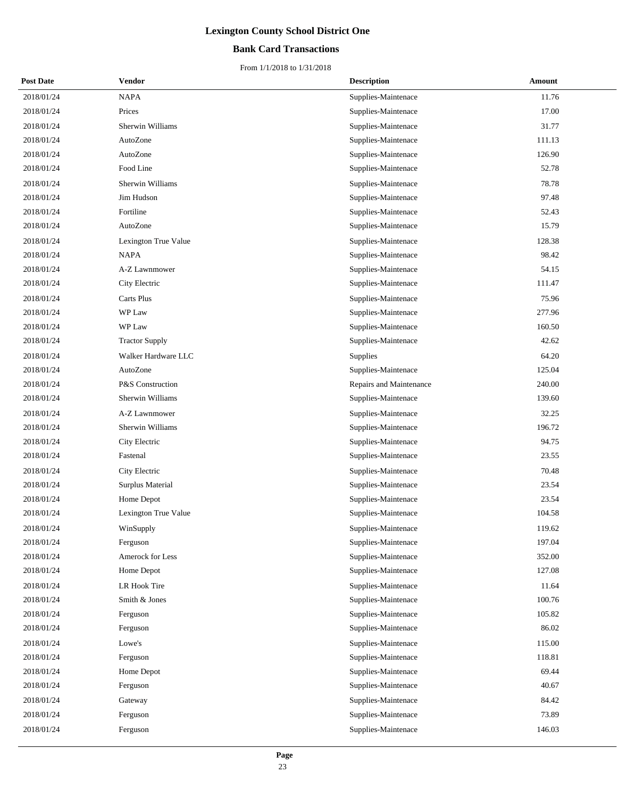### **Bank Card Transactions**

| <b>Post Date</b> | Vendor                | <b>Description</b>      | Amount |
|------------------|-----------------------|-------------------------|--------|
| 2018/01/24       | <b>NAPA</b>           | Supplies-Maintenace     | 11.76  |
| 2018/01/24       | Prices                | Supplies-Maintenace     | 17.00  |
| 2018/01/24       | Sherwin Williams      | Supplies-Maintenace     | 31.77  |
| 2018/01/24       | AutoZone              | Supplies-Maintenace     | 111.13 |
| 2018/01/24       | AutoZone              | Supplies-Maintenace     | 126.90 |
| 2018/01/24       | Food Line             | Supplies-Maintenace     | 52.78  |
| 2018/01/24       | Sherwin Williams      | Supplies-Maintenace     | 78.78  |
| 2018/01/24       | Jim Hudson            | Supplies-Maintenace     | 97.48  |
| 2018/01/24       | Fortiline             | Supplies-Maintenace     | 52.43  |
| 2018/01/24       | AutoZone              | Supplies-Maintenace     | 15.79  |
| 2018/01/24       | Lexington True Value  | Supplies-Maintenace     | 128.38 |
| 2018/01/24       | <b>NAPA</b>           | Supplies-Maintenace     | 98.42  |
| 2018/01/24       | A-Z Lawnmower         | Supplies-Maintenace     | 54.15  |
| 2018/01/24       | City Electric         | Supplies-Maintenace     | 111.47 |
| 2018/01/24       | Carts Plus            | Supplies-Maintenace     | 75.96  |
| 2018/01/24       | WP Law                | Supplies-Maintenace     | 277.96 |
| 2018/01/24       | WP Law                | Supplies-Maintenace     | 160.50 |
| 2018/01/24       | <b>Tractor Supply</b> | Supplies-Maintenace     | 42.62  |
| 2018/01/24       | Walker Hardware LLC   | Supplies                | 64.20  |
| 2018/01/24       | AutoZone              | Supplies-Maintenace     | 125.04 |
| 2018/01/24       | P&S Construction      | Repairs and Maintenance | 240.00 |
| 2018/01/24       | Sherwin Williams      | Supplies-Maintenace     | 139.60 |
| 2018/01/24       | A-Z Lawnmower         | Supplies-Maintenace     | 32.25  |
| 2018/01/24       | Sherwin Williams      | Supplies-Maintenace     | 196.72 |
| 2018/01/24       | City Electric         | Supplies-Maintenace     | 94.75  |
| 2018/01/24       | Fastenal              | Supplies-Maintenace     | 23.55  |
| 2018/01/24       | City Electric         | Supplies-Maintenace     | 70.48  |
| 2018/01/24       | Surplus Material      | Supplies-Maintenace     | 23.54  |
| 2018/01/24       | Home Depot            | Supplies-Maintenace     | 23.54  |
| 2018/01/24       | Lexington True Value  | Supplies-Maintenace     | 104.58 |
| 2018/01/24       | WinSupply             | Supplies-Maintenace     | 119.62 |
| 2018/01/24       | Ferguson              | Supplies-Maintenace     | 197.04 |
| 2018/01/24       | Amerock for Less      | Supplies-Maintenace     | 352.00 |
| 2018/01/24       | Home Depot            | Supplies-Maintenace     | 127.08 |
| 2018/01/24       | LR Hook Tire          | Supplies-Maintenace     | 11.64  |
| 2018/01/24       | Smith & Jones         | Supplies-Maintenace     | 100.76 |
| 2018/01/24       | Ferguson              | Supplies-Maintenace     | 105.82 |
| 2018/01/24       | Ferguson              | Supplies-Maintenace     | 86.02  |
| 2018/01/24       | Lowe's                | Supplies-Maintenace     | 115.00 |
| 2018/01/24       | Ferguson              | Supplies-Maintenace     | 118.81 |
| 2018/01/24       | Home Depot            | Supplies-Maintenace     | 69.44  |
| 2018/01/24       | Ferguson              | Supplies-Maintenace     | 40.67  |
| 2018/01/24       | Gateway               | Supplies-Maintenace     | 84.42  |
| 2018/01/24       | Ferguson              | Supplies-Maintenace     | 73.89  |
| 2018/01/24       | Ferguson              | Supplies-Maintenace     | 146.03 |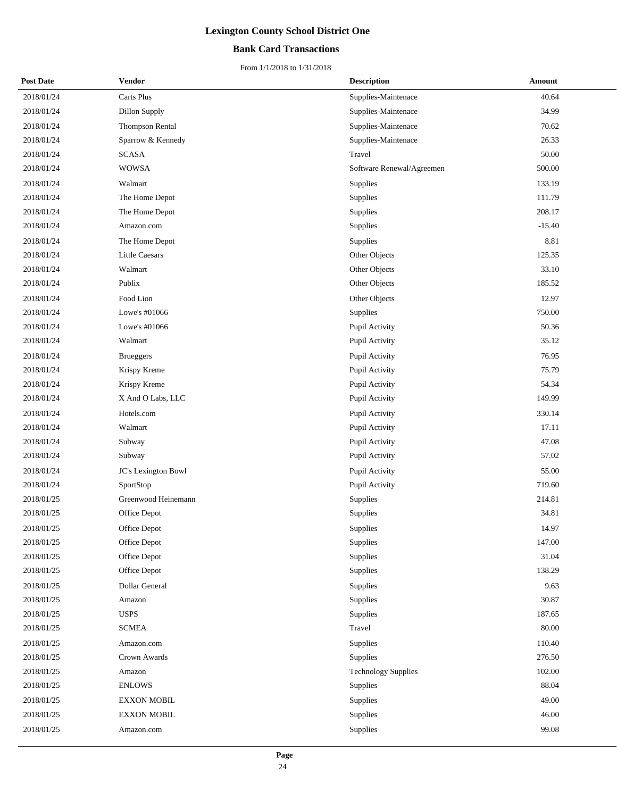### **Bank Card Transactions**

| <b>Post Date</b> | <b>Vendor</b>          | <b>Description</b>         | Amount   |
|------------------|------------------------|----------------------------|----------|
| 2018/01/24       | Carts Plus             | Supplies-Maintenace        | 40.64    |
| 2018/01/24       | Dillon Supply          | Supplies-Maintenace        | 34.99    |
| 2018/01/24       | <b>Thompson Rental</b> | Supplies-Maintenace        | 70.62    |
| 2018/01/24       | Sparrow & Kennedy      | Supplies-Maintenace        | 26.33    |
| 2018/01/24       | <b>SCASA</b>           | Travel                     | 50.00    |
| 2018/01/24       | <b>WOWSA</b>           | Software Renewal/Agreemen  | 500.00   |
| 2018/01/24       | Walmart                | Supplies                   | 133.19   |
| 2018/01/24       | The Home Depot         | Supplies                   | 111.79   |
| 2018/01/24       | The Home Depot         | Supplies                   | 208.17   |
| 2018/01/24       | Amazon.com             | Supplies                   | $-15.40$ |
| 2018/01/24       | The Home Depot         | Supplies                   | 8.81     |
| 2018/01/24       | Little Caesars         | Other Objects              | 125.35   |
| 2018/01/24       | Walmart                | Other Objects              | 33.10    |
| 2018/01/24       | Publix                 | Other Objects              | 185.52   |
| 2018/01/24       | Food Lion              | Other Objects              | 12.97    |
| 2018/01/24       | Lowe's #01066          | Supplies                   | 750.00   |
| 2018/01/24       | Lowe's #01066          | Pupil Activity             | 50.36    |
| 2018/01/24       | Walmart                | Pupil Activity             | 35.12    |
| 2018/01/24       | <b>Brueggers</b>       | Pupil Activity             | 76.95    |
| 2018/01/24       | Krispy Kreme           | Pupil Activity             | 75.79    |
| 2018/01/24       | Krispy Kreme           | Pupil Activity             | 54.34    |
| 2018/01/24       | X And O Labs, LLC      | Pupil Activity             | 149.99   |
| 2018/01/24       | Hotels.com             | Pupil Activity             | 330.14   |
| 2018/01/24       | Walmart                | Pupil Activity             | 17.11    |
| 2018/01/24       | Subway                 | Pupil Activity             | 47.08    |
| 2018/01/24       | Subway                 | Pupil Activity             | 57.02    |
| 2018/01/24       | JC's Lexington Bowl    | Pupil Activity             | 55.00    |
| 2018/01/24       | SportStop              | Pupil Activity             | 719.60   |
| 2018/01/25       | Greenwood Heinemann    | Supplies                   | 214.81   |
| 2018/01/25       | Office Depot           | Supplies                   | 34.81    |
| 2018/01/25       | Office Depot           | Supplies                   | 14.97    |
| 2018/01/25       | Office Depot           | <b>Supplies</b>            | 147.00   |
| 2018/01/25       | Office Depot           | Supplies                   | 31.04    |
| 2018/01/25       | Office Depot           | Supplies                   | 138.29   |
| 2018/01/25       | Dollar General         | Supplies                   | 9.63     |
| 2018/01/25       | Amazon                 | Supplies                   | 30.87    |
| 2018/01/25       | <b>USPS</b>            | Supplies                   | 187.65   |
| 2018/01/25       | <b>SCMEA</b>           | Travel                     | 80.00    |
| 2018/01/25       | Amazon.com             | Supplies                   | 110.40   |
| 2018/01/25       | Crown Awards           | Supplies                   | 276.50   |
| 2018/01/25       | Amazon                 | <b>Technology Supplies</b> | 102.00   |
| 2018/01/25       | <b>ENLOWS</b>          | Supplies                   | 88.04    |
| 2018/01/25       | <b>EXXON MOBIL</b>     | Supplies                   | 49.00    |
| 2018/01/25       | <b>EXXON MOBIL</b>     | Supplies                   | 46.00    |
| 2018/01/25       | Amazon.com             | Supplies                   | 99.08    |
|                  |                        |                            |          |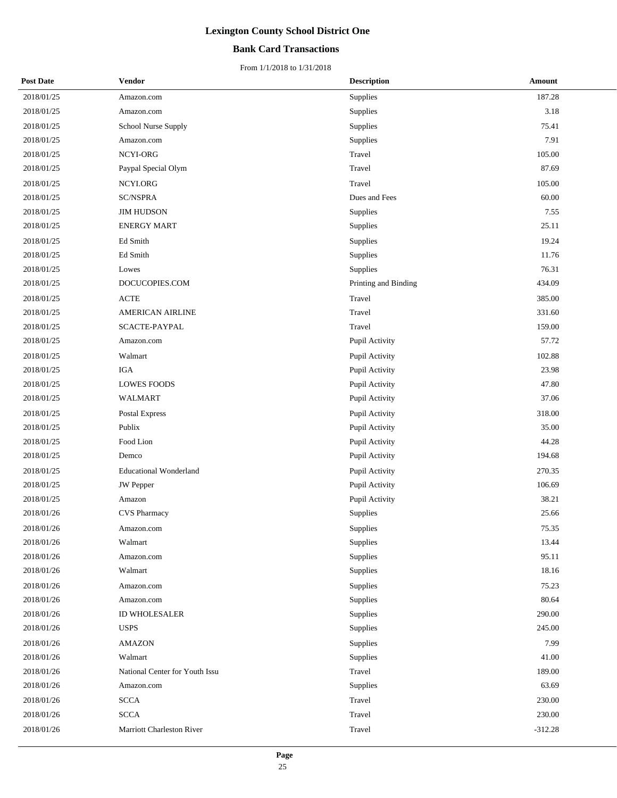### **Bank Card Transactions**

| <b>Post Date</b> | <b>Vendor</b>                  | <b>Description</b>   | Amount    |
|------------------|--------------------------------|----------------------|-----------|
| 2018/01/25       | Amazon.com                     | Supplies             | 187.28    |
| 2018/01/25       | Amazon.com                     | Supplies             | 3.18      |
| 2018/01/25       | School Nurse Supply            | Supplies             | 75.41     |
| 2018/01/25       | Amazon.com                     | Supplies             | 7.91      |
| 2018/01/25       | NCYI-ORG                       | Travel               | 105.00    |
| 2018/01/25       | Paypal Special Olym            | Travel               | 87.69     |
| 2018/01/25       | NCYI.ORG                       | Travel               | 105.00    |
| 2018/01/25       | <b>SC/NSPRA</b>                | Dues and Fees        | 60.00     |
| 2018/01/25       | <b>JIM HUDSON</b>              | Supplies             | 7.55      |
| 2018/01/25       | <b>ENERGY MART</b>             | Supplies             | 25.11     |
| 2018/01/25       | Ed Smith                       | Supplies             | 19.24     |
| 2018/01/25       | Ed Smith                       | Supplies             | 11.76     |
| 2018/01/25       | Lowes                          | Supplies             | 76.31     |
| 2018/01/25       | DOCUCOPIES.COM                 | Printing and Binding | 434.09    |
| 2018/01/25       | <b>ACTE</b>                    | Travel               | 385.00    |
| 2018/01/25       | <b>AMERICAN AIRLINE</b>        | Travel               | 331.60    |
| 2018/01/25       | SCACTE-PAYPAL                  | Travel               | 159.00    |
| 2018/01/25       | Amazon.com                     | Pupil Activity       | 57.72     |
| 2018/01/25       | Walmart                        | Pupil Activity       | 102.88    |
| 2018/01/25       | <b>IGA</b>                     | Pupil Activity       | 23.98     |
| 2018/01/25       | <b>LOWES FOODS</b>             | Pupil Activity       | 47.80     |
| 2018/01/25       | WALMART                        | Pupil Activity       | 37.06     |
| 2018/01/25       | Postal Express                 | Pupil Activity       | 318.00    |
| 2018/01/25       | Publix                         | Pupil Activity       | 35.00     |
| 2018/01/25       | Food Lion                      | Pupil Activity       | 44.28     |
| 2018/01/25       | Demco                          | Pupil Activity       | 194.68    |
| 2018/01/25       | <b>Educational Wonderland</b>  | Pupil Activity       | 270.35    |
| 2018/01/25       | <b>JW</b> Pepper               | Pupil Activity       | 106.69    |
| 2018/01/25       | Amazon                         | Pupil Activity       | 38.21     |
| 2018/01/26       | <b>CVS Pharmacy</b>            | Supplies             | 25.66     |
| 2018/01/26       | Amazon.com                     | Supplies             | 75.35     |
| 2018/01/26       | Walmart                        | Supplies             | 13.44     |
| 2018/01/26       | Amazon.com                     | Supplies             | 95.11     |
| 2018/01/26       | Walmart                        | Supplies             | 18.16     |
| 2018/01/26       | Amazon.com                     | Supplies             | 75.23     |
| 2018/01/26       | Amazon.com                     | Supplies             | 80.64     |
| 2018/01/26       | ID WHOLESALER                  | Supplies             | 290.00    |
| 2018/01/26       | <b>USPS</b>                    | Supplies             | 245.00    |
| 2018/01/26       | <b>AMAZON</b>                  | Supplies             | 7.99      |
| 2018/01/26       | Walmart                        | Supplies             | 41.00     |
| 2018/01/26       | National Center for Youth Issu | Travel               | 189.00    |
| 2018/01/26       | Amazon.com                     | Supplies             | 63.69     |
| 2018/01/26       | <b>SCCA</b>                    | Travel               | 230.00    |
| 2018/01/26       | <b>SCCA</b>                    | Travel               | 230.00    |
| 2018/01/26       | Marriott Charleston River      | Travel               | $-312.28$ |
|                  |                                |                      |           |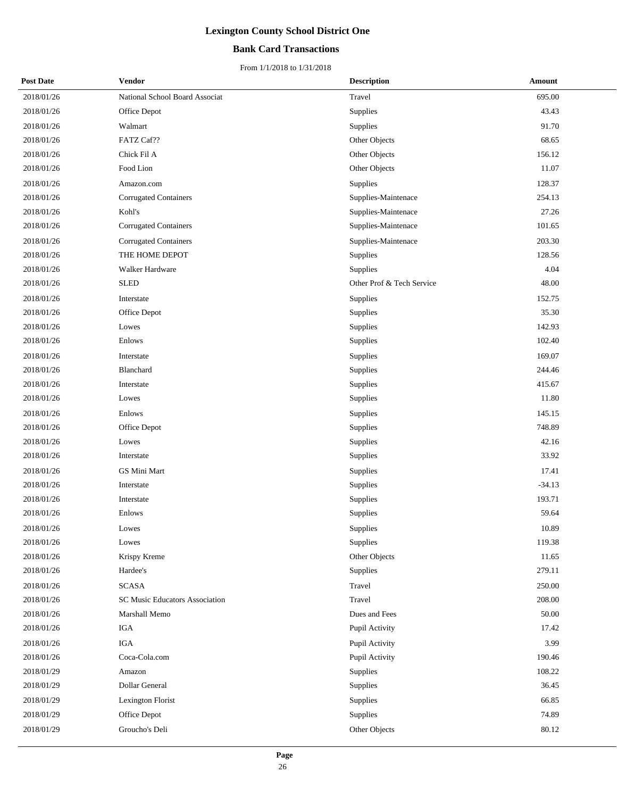### **Bank Card Transactions**

| <b>Post Date</b> | <b>Vendor</b>                         | <b>Description</b>        | Amount   |
|------------------|---------------------------------------|---------------------------|----------|
| 2018/01/26       | National School Board Associat        | Travel                    | 695.00   |
| 2018/01/26       | Office Depot                          | Supplies                  | 43.43    |
| 2018/01/26       | Walmart                               | Supplies                  | 91.70    |
| 2018/01/26       | FATZ Caf??                            | Other Objects             | 68.65    |
| 2018/01/26       | Chick Fil A                           | Other Objects             | 156.12   |
| 2018/01/26       | Food Lion                             | Other Objects             | 11.07    |
| 2018/01/26       | Amazon.com                            | Supplies                  | 128.37   |
| 2018/01/26       | <b>Corrugated Containers</b>          | Supplies-Maintenace       | 254.13   |
| 2018/01/26       | Kohl's                                | Supplies-Maintenace       | 27.26    |
| 2018/01/26       | Corrugated Containers                 | Supplies-Maintenace       | 101.65   |
| 2018/01/26       | <b>Corrugated Containers</b>          | Supplies-Maintenace       | 203.30   |
| 2018/01/26       | THE HOME DEPOT                        | Supplies                  | 128.56   |
| 2018/01/26       | Walker Hardware                       | Supplies                  | 4.04     |
| 2018/01/26       | <b>SLED</b>                           | Other Prof & Tech Service | 48.00    |
| 2018/01/26       | Interstate                            | Supplies                  | 152.75   |
| 2018/01/26       | Office Depot                          | Supplies                  | 35.30    |
| 2018/01/26       | Lowes                                 | Supplies                  | 142.93   |
| 2018/01/26       | Enlows                                | Supplies                  | 102.40   |
| 2018/01/26       | Interstate                            | Supplies                  | 169.07   |
| 2018/01/26       | Blanchard                             | Supplies                  | 244.46   |
| 2018/01/26       | Interstate                            | Supplies                  | 415.67   |
| 2018/01/26       | Lowes                                 | Supplies                  | 11.80    |
| 2018/01/26       | Enlows                                | Supplies                  | 145.15   |
| 2018/01/26       | Office Depot                          | Supplies                  | 748.89   |
| 2018/01/26       | Lowes                                 | Supplies                  | 42.16    |
| 2018/01/26       | Interstate                            | Supplies                  | 33.92    |
| 2018/01/26       | GS Mini Mart                          | Supplies                  | 17.41    |
| 2018/01/26       | Interstate                            | Supplies                  | $-34.13$ |
| 2018/01/26       | Interstate                            | Supplies                  | 193.71   |
| 2018/01/26       | Enlows                                | Supplies                  | 59.64    |
| 2018/01/26       | Lowes                                 | Supplies                  | 10.89    |
| 2018/01/26       | Lowes                                 | Supplies                  | 119.38   |
| 2018/01/26       | Krispy Kreme                          | Other Objects             | 11.65    |
| 2018/01/26       | Hardee's                              | Supplies                  | 279.11   |
| 2018/01/26       | <b>SCASA</b>                          | Travel                    | 250.00   |
| 2018/01/26       | <b>SC Music Educators Association</b> | Travel                    | 208.00   |
| 2018/01/26       | Marshall Memo                         | Dues and Fees             | 50.00    |
| 2018/01/26       | IGA                                   | Pupil Activity            | 17.42    |
| 2018/01/26       | IGA                                   | Pupil Activity            | 3.99     |
| 2018/01/26       | Coca-Cola.com                         | Pupil Activity            | 190.46   |
| 2018/01/29       | Amazon                                | Supplies                  | 108.22   |
| 2018/01/29       | Dollar General                        | Supplies                  | 36.45    |
| 2018/01/29       | Lexington Florist                     | Supplies                  | 66.85    |
| 2018/01/29       | Office Depot                          | Supplies                  | 74.89    |
| 2018/01/29       | Groucho's Deli                        | Other Objects             | 80.12    |
|                  |                                       |                           |          |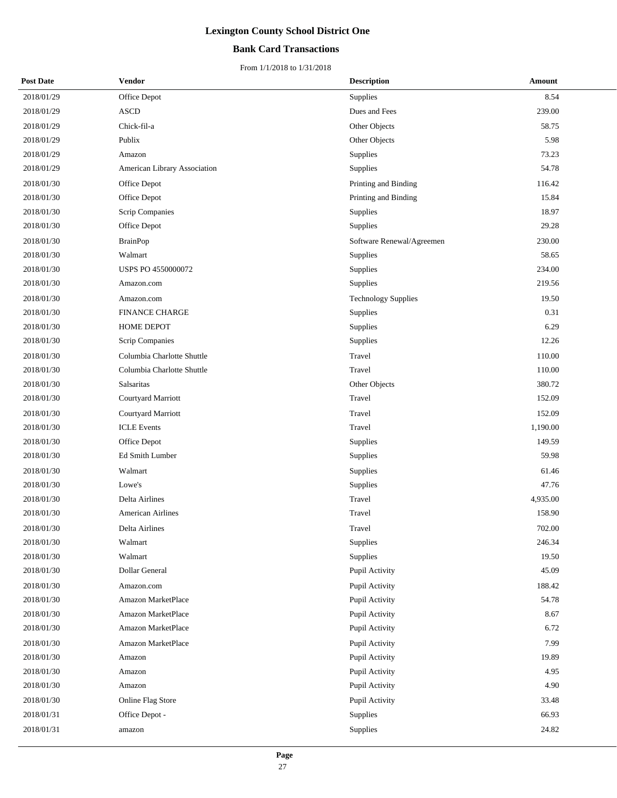### **Bank Card Transactions**

| <b>Post Date</b> | Vendor                       | <b>Description</b>         | <b>Amount</b> |
|------------------|------------------------------|----------------------------|---------------|
| 2018/01/29       | Office Depot                 | Supplies                   | 8.54          |
| 2018/01/29       | <b>ASCD</b>                  | Dues and Fees              | 239.00        |
| 2018/01/29       | Chick-fil-a                  | Other Objects              | 58.75         |
| 2018/01/29       | Publix                       | Other Objects              | 5.98          |
| 2018/01/29       | Amazon                       | Supplies                   | 73.23         |
| 2018/01/29       | American Library Association | Supplies                   | 54.78         |
| 2018/01/30       | Office Depot                 | Printing and Binding       | 116.42        |
| 2018/01/30       | Office Depot                 | Printing and Binding       | 15.84         |
| 2018/01/30       | Scrip Companies              | Supplies                   | 18.97         |
| 2018/01/30       | Office Depot                 | Supplies                   | 29.28         |
| 2018/01/30       | <b>BrainPop</b>              | Software Renewal/Agreemen  | 230.00        |
| 2018/01/30       | Walmart                      | Supplies                   | 58.65         |
| 2018/01/30       | USPS PO 4550000072           | Supplies                   | 234.00        |
| 2018/01/30       | Amazon.com                   | Supplies                   | 219.56        |
| 2018/01/30       | Amazon.com                   | <b>Technology Supplies</b> | 19.50         |
| 2018/01/30       | <b>FINANCE CHARGE</b>        | Supplies                   | 0.31          |
| 2018/01/30       | HOME DEPOT                   | Supplies                   | 6.29          |
| 2018/01/30       | Scrip Companies              | Supplies                   | 12.26         |
| 2018/01/30       | Columbia Charlotte Shuttle   | Travel                     | 110.00        |
| 2018/01/30       | Columbia Charlotte Shuttle   | Travel                     | 110.00        |
| 2018/01/30       | Salsaritas                   | Other Objects              | 380.72        |
| 2018/01/30       | Courtyard Marriott           | Travel                     | 152.09        |
| 2018/01/30       | Courtyard Marriott           | Travel                     | 152.09        |
| 2018/01/30       | <b>ICLE</b> Events           | Travel                     | 1,190.00      |
| 2018/01/30       | Office Depot                 | Supplies                   | 149.59        |
| 2018/01/30       | Ed Smith Lumber              | Supplies                   | 59.98         |
| 2018/01/30       | Walmart                      | Supplies                   | 61.46         |
| 2018/01/30       | Lowe's                       | Supplies                   | 47.76         |
| 2018/01/30       | Delta Airlines               | Travel                     | 4,935.00      |
| 2018/01/30       | American Airlines            | Travel                     | 158.90        |
| 2018/01/30       | Delta Airlines               | Travel                     | 702.00        |
| 2018/01/30       | Walmart                      | Supplies                   | 246.34        |
| 2018/01/30       | Walmart                      | <b>Supplies</b>            | 19.50         |
| 2018/01/30       | Dollar General               | Pupil Activity             | 45.09         |
| 2018/01/30       | Amazon.com                   | Pupil Activity             | 188.42        |
| 2018/01/30       | Amazon MarketPlace           | Pupil Activity             | 54.78         |
| 2018/01/30       | Amazon MarketPlace           | Pupil Activity             | 8.67          |
| 2018/01/30       | Amazon MarketPlace           | Pupil Activity             | 6.72          |
| 2018/01/30       | Amazon MarketPlace           | Pupil Activity             | 7.99          |
| 2018/01/30       | Amazon                       | Pupil Activity             | 19.89         |
| 2018/01/30       | Amazon                       | Pupil Activity             | 4.95          |
| 2018/01/30       | Amazon                       | Pupil Activity             | 4.90          |
| 2018/01/30       | Online Flag Store            | Pupil Activity             | 33.48         |
| 2018/01/31       | Office Depot -               | Supplies                   | 66.93         |
| 2018/01/31       | amazon                       | Supplies                   | 24.82         |
|                  |                              |                            |               |